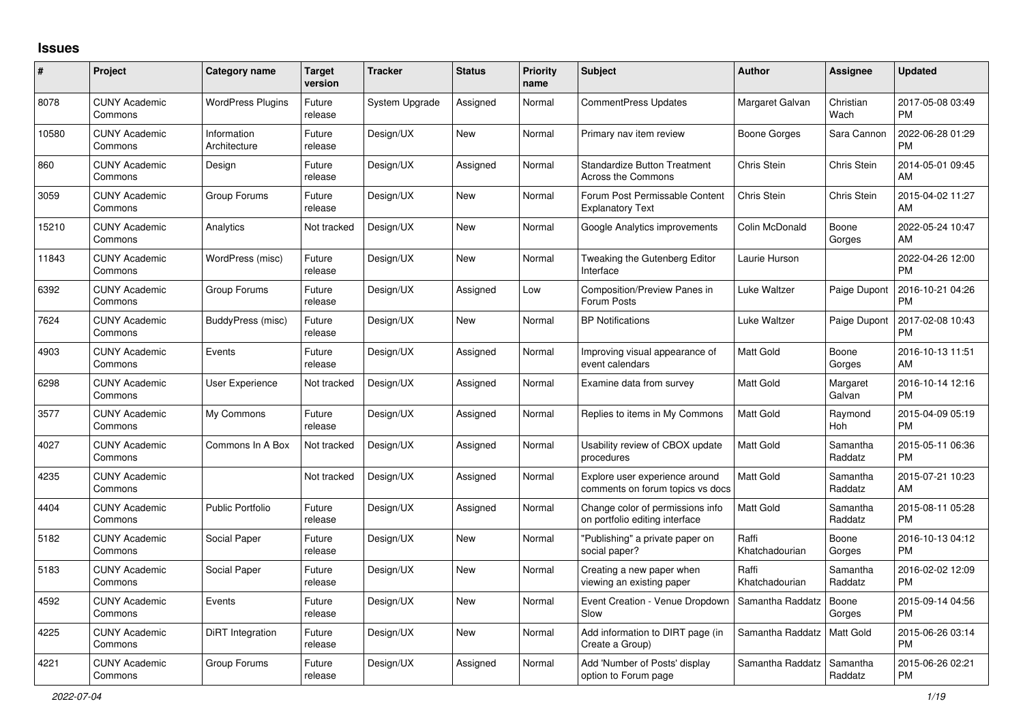## **Issues**

| $\pmb{\#}$ | Project                         | <b>Category name</b>        | <b>Target</b><br>version | <b>Tracker</b> | <b>Status</b> | <b>Priority</b><br>name | <b>Subject</b>                                                     | <b>Author</b>           | Assignee            | <b>Updated</b>                |
|------------|---------------------------------|-----------------------------|--------------------------|----------------|---------------|-------------------------|--------------------------------------------------------------------|-------------------------|---------------------|-------------------------------|
| 8078       | <b>CUNY Academic</b><br>Commons | <b>WordPress Plugins</b>    | Future<br>release        | System Upgrade | Assigned      | Normal                  | <b>CommentPress Updates</b>                                        | Margaret Galvan         | Christian<br>Wach   | 2017-05-08 03:49<br><b>PM</b> |
| 10580      | <b>CUNY Academic</b><br>Commons | Information<br>Architecture | Future<br>release        | Design/UX      | New           | Normal                  | Primary nav item review                                            | Boone Gorges            | Sara Cannon         | 2022-06-28 01:29<br><b>PM</b> |
| 860        | <b>CUNY Academic</b><br>Commons | Design                      | Future<br>release        | Design/UX      | Assigned      | Normal                  | <b>Standardize Button Treatment</b><br>Across the Commons          | Chris Stein             | Chris Stein         | 2014-05-01 09:45<br>AM        |
| 3059       | <b>CUNY Academic</b><br>Commons | Group Forums                | Future<br>release        | Design/UX      | <b>New</b>    | Normal                  | Forum Post Permissable Content<br><b>Explanatory Text</b>          | Chris Stein             | <b>Chris Stein</b>  | 2015-04-02 11:27<br>AM        |
| 15210      | <b>CUNY Academic</b><br>Commons | Analytics                   | Not tracked              | Design/UX      | New           | Normal                  | Google Analytics improvements                                      | Colin McDonald          | Boone<br>Gorges     | 2022-05-24 10:47<br>AM        |
| 11843      | <b>CUNY Academic</b><br>Commons | WordPress (misc)            | Future<br>release        | Design/UX      | <b>New</b>    | Normal                  | Tweaking the Gutenberg Editor<br>Interface                         | Laurie Hurson           |                     | 2022-04-26 12:00<br><b>PM</b> |
| 6392       | <b>CUNY Academic</b><br>Commons | Group Forums                | Future<br>release        | Design/UX      | Assigned      | Low                     | Composition/Preview Panes in<br>Forum Posts                        | Luke Waltzer            | Paige Dupont        | 2016-10-21 04:26<br><b>PM</b> |
| 7624       | <b>CUNY Academic</b><br>Commons | BuddyPress (misc)           | Future<br>release        | Design/UX      | <b>New</b>    | Normal                  | <b>BP Notifications</b>                                            | Luke Waltzer            | Paige Dupont        | 2017-02-08 10:43<br><b>PM</b> |
| 4903       | <b>CUNY Academic</b><br>Commons | Events                      | Future<br>release        | Design/UX      | Assigned      | Normal                  | Improving visual appearance of<br>event calendars                  | Matt Gold               | Boone<br>Gorges     | 2016-10-13 11:51<br>AM        |
| 6298       | <b>CUNY Academic</b><br>Commons | <b>User Experience</b>      | Not tracked              | Design/UX      | Assigned      | Normal                  | Examine data from survey                                           | Matt Gold               | Margaret<br>Galvan  | 2016-10-14 12:16<br><b>PM</b> |
| 3577       | <b>CUNY Academic</b><br>Commons | My Commons                  | Future<br>release        | Design/UX      | Assigned      | Normal                  | Replies to items in My Commons                                     | <b>Matt Gold</b>        | Raymond<br>Hoh      | 2015-04-09 05:19<br><b>PM</b> |
| 4027       | <b>CUNY Academic</b><br>Commons | Commons In A Box            | Not tracked              | Design/UX      | Assigned      | Normal                  | Usability review of CBOX update<br>procedures                      | Matt Gold               | Samantha<br>Raddatz | 2015-05-11 06:36<br><b>PM</b> |
| 4235       | <b>CUNY Academic</b><br>Commons |                             | Not tracked              | Design/UX      | Assigned      | Normal                  | Explore user experience around<br>comments on forum topics vs docs | <b>Matt Gold</b>        | Samantha<br>Raddatz | 2015-07-21 10:23<br>AM        |
| 4404       | <b>CUNY Academic</b><br>Commons | <b>Public Portfolio</b>     | Future<br>release        | Design/UX      | Assigned      | Normal                  | Change color of permissions info<br>on portfolio editing interface | Matt Gold               | Samantha<br>Raddatz | 2015-08-11 05:28<br><b>PM</b> |
| 5182       | <b>CUNY Academic</b><br>Commons | Social Paper                | Future<br>release        | Design/UX      | <b>New</b>    | Normal                  | "Publishing" a private paper on<br>social paper?                   | Raffi<br>Khatchadourian | Boone<br>Gorges     | 2016-10-13 04:12<br><b>PM</b> |
| 5183       | <b>CUNY Academic</b><br>Commons | Social Paper                | Future<br>release        | Design/UX      | <b>New</b>    | Normal                  | Creating a new paper when<br>viewing an existing paper             | Raffi<br>Khatchadourian | Samantha<br>Raddatz | 2016-02-02 12:09<br><b>PM</b> |
| 4592       | <b>CUNY Academic</b><br>Commons | Events                      | Future<br>release        | Design/UX      | <b>New</b>    | Normal                  | Event Creation - Venue Dropdown<br>Slow                            | Samantha Raddatz        | Boone<br>Gorges     | 2015-09-14 04:56<br><b>PM</b> |
| 4225       | <b>CUNY Academic</b><br>Commons | <b>DiRT</b> Integration     | Future<br>release        | Design/UX      | <b>New</b>    | Normal                  | Add information to DIRT page (in<br>Create a Group)                | Samantha Raddatz        | Matt Gold           | 2015-06-26 03:14<br><b>PM</b> |
| 4221       | <b>CUNY Academic</b><br>Commons | Group Forums                | Future<br>release        | Design/UX      | Assigned      | Normal                  | Add 'Number of Posts' display<br>option to Forum page              | Samantha Raddatz        | Samantha<br>Raddatz | 2015-06-26 02:21<br>PM        |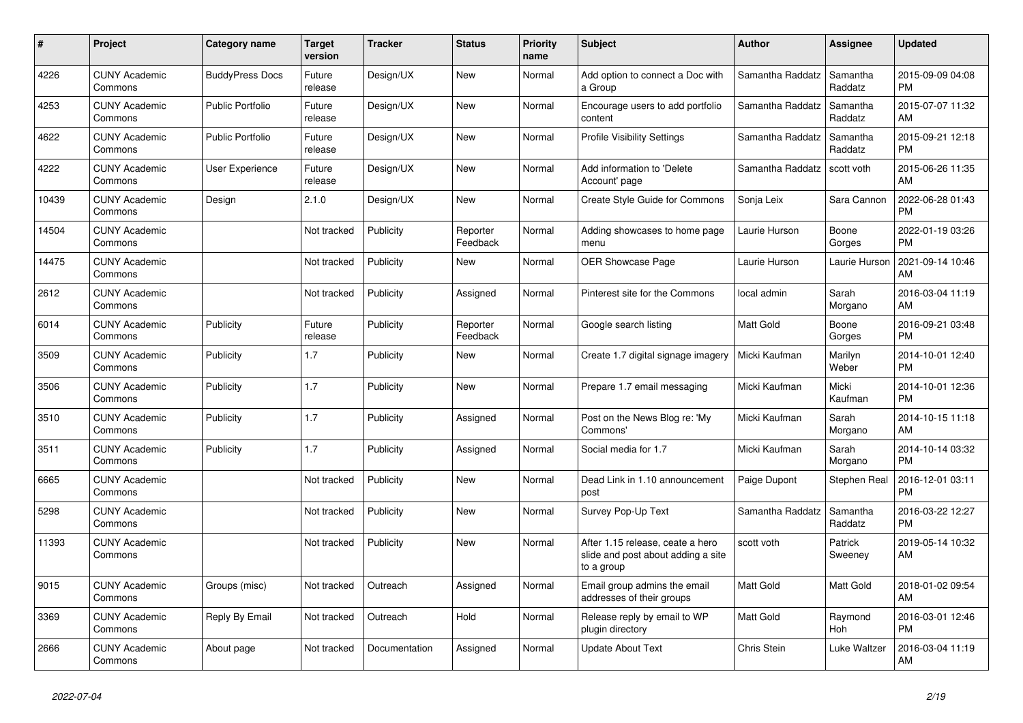| #     | <b>Project</b>                  | Category name           | <b>Target</b><br>version | <b>Tracker</b> | <b>Status</b>        | <b>Priority</b><br>name | <b>Subject</b>                                                                       | <b>Author</b>    | Assignee            | <b>Updated</b>                |
|-------|---------------------------------|-------------------------|--------------------------|----------------|----------------------|-------------------------|--------------------------------------------------------------------------------------|------------------|---------------------|-------------------------------|
| 4226  | <b>CUNY Academic</b><br>Commons | <b>BuddyPress Docs</b>  | Future<br>release        | Design/UX      | New                  | Normal                  | Add option to connect a Doc with<br>a Group                                          | Samantha Raddatz | Samantha<br>Raddatz | 2015-09-09 04:08<br><b>PM</b> |
| 4253  | <b>CUNY Academic</b><br>Commons | <b>Public Portfolio</b> | Future<br>release        | Design/UX      | New                  | Normal                  | Encourage users to add portfolio<br>content                                          | Samantha Raddatz | Samantha<br>Raddatz | 2015-07-07 11:32<br>AM        |
| 4622  | <b>CUNY Academic</b><br>Commons | <b>Public Portfolio</b> | Future<br>release        | Design/UX      | New                  | Normal                  | <b>Profile Visibility Settings</b>                                                   | Samantha Raddatz | Samantha<br>Raddatz | 2015-09-21 12:18<br><b>PM</b> |
| 4222  | <b>CUNY Academic</b><br>Commons | User Experience         | Future<br>release        | Design/UX      | <b>New</b>           | Normal                  | Add information to 'Delete<br>Account' page                                          | Samantha Raddatz | scott voth          | 2015-06-26 11:35<br>AM        |
| 10439 | <b>CUNY Academic</b><br>Commons | Design                  | 2.1.0                    | Design/UX      | <b>New</b>           | Normal                  | Create Style Guide for Commons                                                       | Sonja Leix       | Sara Cannon         | 2022-06-28 01:43<br><b>PM</b> |
| 14504 | <b>CUNY Academic</b><br>Commons |                         | Not tracked              | Publicity      | Reporter<br>Feedback | Normal                  | Adding showcases to home page<br>menu                                                | Laurie Hurson    | Boone<br>Gorges     | 2022-01-19 03:26<br><b>PM</b> |
| 14475 | <b>CUNY Academic</b><br>Commons |                         | Not tracked              | Publicity      | <b>New</b>           | Normal                  | <b>OER Showcase Page</b>                                                             | Laurie Hurson    | Laurie Hurson       | 2021-09-14 10:46<br>AM        |
| 2612  | <b>CUNY Academic</b><br>Commons |                         | Not tracked              | Publicity      | Assigned             | Normal                  | Pinterest site for the Commons                                                       | local admin      | Sarah<br>Morgano    | 2016-03-04 11:19<br>AM        |
| 6014  | <b>CUNY Academic</b><br>Commons | Publicity               | Future<br>release        | Publicity      | Reporter<br>Feedback | Normal                  | Google search listing                                                                | <b>Matt Gold</b> | Boone<br>Gorges     | 2016-09-21 03:48<br><b>PM</b> |
| 3509  | <b>CUNY Academic</b><br>Commons | Publicity               | 1.7                      | Publicity      | New                  | Normal                  | Create 1.7 digital signage imagery                                                   | Micki Kaufman    | Marilyn<br>Weber    | 2014-10-01 12:40<br><b>PM</b> |
| 3506  | <b>CUNY Academic</b><br>Commons | Publicity               | 1.7                      | Publicity      | <b>New</b>           | Normal                  | Prepare 1.7 email messaging                                                          | Micki Kaufman    | Micki<br>Kaufman    | 2014-10-01 12:36<br><b>PM</b> |
| 3510  | <b>CUNY Academic</b><br>Commons | Publicity               | 1.7                      | Publicity      | Assigned             | Normal                  | Post on the News Blog re: 'My<br>Commons'                                            | Micki Kaufman    | Sarah<br>Morgano    | 2014-10-15 11:18<br>AM        |
| 3511  | <b>CUNY Academic</b><br>Commons | Publicity               | 1.7                      | Publicity      | Assigned             | Normal                  | Social media for 1.7                                                                 | Micki Kaufman    | Sarah<br>Morgano    | 2014-10-14 03:32<br><b>PM</b> |
| 6665  | <b>CUNY Academic</b><br>Commons |                         | Not tracked              | Publicity      | <b>New</b>           | Normal                  | Dead Link in 1.10 announcement<br>post                                               | Paige Dupont     | Stephen Real        | 2016-12-01 03:11<br><b>PM</b> |
| 5298  | <b>CUNY Academic</b><br>Commons |                         | Not tracked              | Publicity      | <b>New</b>           | Normal                  | Survey Pop-Up Text                                                                   | Samantha Raddatz | Samantha<br>Raddatz | 2016-03-22 12:27<br><b>PM</b> |
| 11393 | <b>CUNY Academic</b><br>Commons |                         | Not tracked              | Publicity      | <b>New</b>           | Normal                  | After 1.15 release, ceate a hero<br>slide and post about adding a site<br>to a group | scott voth       | Patrick<br>Sweeney  | 2019-05-14 10:32<br>AM        |
| 9015  | <b>CUNY Academic</b><br>Commons | Groups (misc)           | Not tracked              | Outreach       | Assigned             | Normal                  | Email group admins the email<br>addresses of their groups                            | <b>Matt Gold</b> | Matt Gold           | 2018-01-02 09:54<br>AM        |
| 3369  | <b>CUNY Academic</b><br>Commons | Reply By Email          | Not tracked              | Outreach       | Hold                 | Normal                  | Release reply by email to WP<br>plugin directory                                     | <b>Matt Gold</b> | Raymond<br>Hoh      | 2016-03-01 12:46<br><b>PM</b> |
| 2666  | <b>CUNY Academic</b><br>Commons | About page              | Not tracked              | Documentation  | Assigned             | Normal                  | <b>Update About Text</b>                                                             | Chris Stein      | Luke Waltzer        | 2016-03-04 11:19<br>AM        |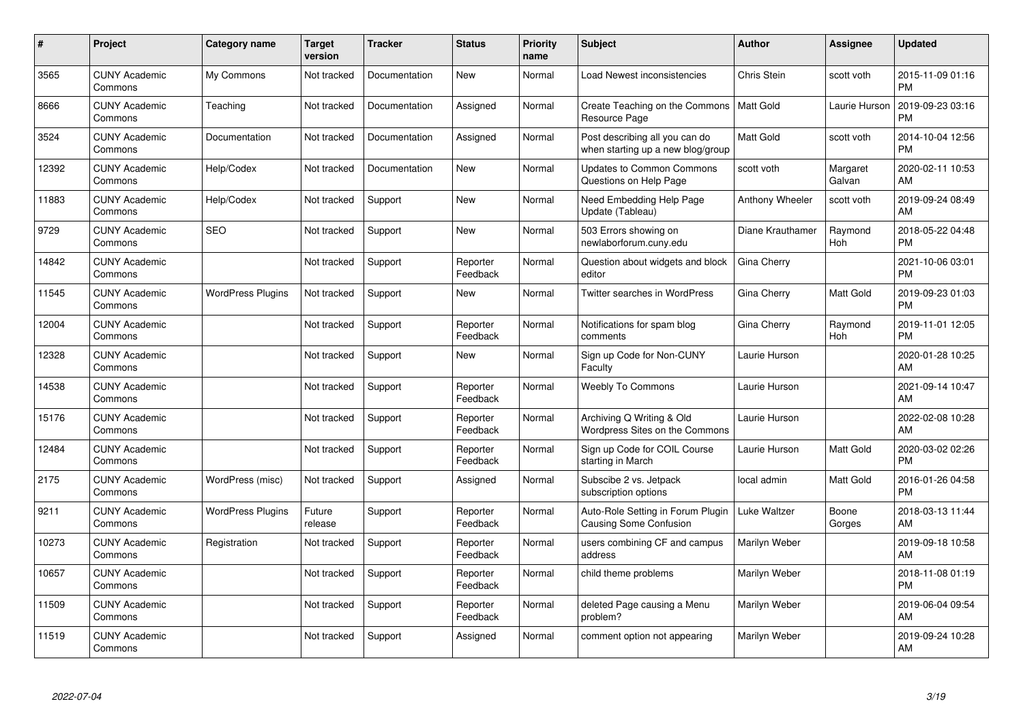| #     | Project                         | <b>Category name</b>     | <b>Target</b><br>version | <b>Tracker</b> | <b>Status</b>        | <b>Priority</b><br>name | <b>Subject</b>                                                      | <b>Author</b>    | <b>Assignee</b>    | <b>Updated</b>                |
|-------|---------------------------------|--------------------------|--------------------------|----------------|----------------------|-------------------------|---------------------------------------------------------------------|------------------|--------------------|-------------------------------|
| 3565  | <b>CUNY Academic</b><br>Commons | My Commons               | Not tracked              | Documentation  | <b>New</b>           | Normal                  | <b>Load Newest inconsistencies</b>                                  | Chris Stein      | scott voth         | 2015-11-09 01:16<br><b>PM</b> |
| 8666  | <b>CUNY Academic</b><br>Commons | Teaching                 | Not tracked              | Documentation  | Assigned             | Normal                  | Create Teaching on the Commons<br>Resource Page                     | Matt Gold        | Laurie Hurson      | 2019-09-23 03:16<br><b>PM</b> |
| 3524  | <b>CUNY Academic</b><br>Commons | Documentation            | Not tracked              | Documentation  | Assigned             | Normal                  | Post describing all you can do<br>when starting up a new blog/group | Matt Gold        | scott voth         | 2014-10-04 12:56<br><b>PM</b> |
| 12392 | <b>CUNY Academic</b><br>Commons | Help/Codex               | Not tracked              | Documentation  | <b>New</b>           | Normal                  | <b>Updates to Common Commons</b><br>Questions on Help Page          | scott voth       | Margaret<br>Galvan | 2020-02-11 10:53<br>AM        |
| 11883 | <b>CUNY Academic</b><br>Commons | Help/Codex               | Not tracked              | Support        | <b>New</b>           | Normal                  | Need Embedding Help Page<br>Update (Tableau)                        | Anthony Wheeler  | scott voth         | 2019-09-24 08:49<br>AM        |
| 9729  | <b>CUNY Academic</b><br>Commons | <b>SEO</b>               | Not tracked              | Support        | <b>New</b>           | Normal                  | 503 Errors showing on<br>newlaborforum.cuny.edu                     | Diane Krauthamer | Raymond<br>Hoh     | 2018-05-22 04:48<br><b>PM</b> |
| 14842 | <b>CUNY Academic</b><br>Commons |                          | Not tracked              | Support        | Reporter<br>Feedback | Normal                  | Question about widgets and block<br>editor                          | Gina Cherry      |                    | 2021-10-06 03:01<br><b>PM</b> |
| 11545 | <b>CUNY Academic</b><br>Commons | <b>WordPress Plugins</b> | Not tracked              | Support        | <b>New</b>           | Normal                  | <b>Twitter searches in WordPress</b>                                | Gina Cherry      | <b>Matt Gold</b>   | 2019-09-23 01:03<br><b>PM</b> |
| 12004 | <b>CUNY Academic</b><br>Commons |                          | Not tracked              | Support        | Reporter<br>Feedback | Normal                  | Notifications for spam blog<br>comments                             | Gina Cherry      | Raymond<br>Hoh     | 2019-11-01 12:05<br><b>PM</b> |
| 12328 | <b>CUNY Academic</b><br>Commons |                          | Not tracked              | Support        | <b>New</b>           | Normal                  | Sign up Code for Non-CUNY<br>Faculty                                | Laurie Hurson    |                    | 2020-01-28 10:25<br>AM        |
| 14538 | <b>CUNY Academic</b><br>Commons |                          | Not tracked              | Support        | Reporter<br>Feedback | Normal                  | Weebly To Commons                                                   | Laurie Hurson    |                    | 2021-09-14 10:47<br>AM        |
| 15176 | <b>CUNY Academic</b><br>Commons |                          | Not tracked              | Support        | Reporter<br>Feedback | Normal                  | Archiving Q Writing & Old<br>Wordpress Sites on the Commons         | Laurie Hurson    |                    | 2022-02-08 10:28<br>AM        |
| 12484 | <b>CUNY Academic</b><br>Commons |                          | Not tracked              | Support        | Reporter<br>Feedback | Normal                  | Sign up Code for COIL Course<br>starting in March                   | Laurie Hurson    | Matt Gold          | 2020-03-02 02:26<br><b>PM</b> |
| 2175  | <b>CUNY Academic</b><br>Commons | WordPress (misc)         | Not tracked              | Support        | Assigned             | Normal                  | Subscibe 2 vs. Jetpack<br>subscription options                      | local admin      | <b>Matt Gold</b>   | 2016-01-26 04:58<br><b>PM</b> |
| 9211  | <b>CUNY Academic</b><br>Commons | <b>WordPress Plugins</b> | Future<br>release        | Support        | Reporter<br>Feedback | Normal                  | Auto-Role Setting in Forum Plugin<br><b>Causing Some Confusion</b>  | Luke Waltzer     | Boone<br>Gorges    | 2018-03-13 11:44<br>AM        |
| 10273 | <b>CUNY Academic</b><br>Commons | Registration             | Not tracked              | Support        | Reporter<br>Feedback | Normal                  | users combining CF and campus<br>address                            | Marilyn Weber    |                    | 2019-09-18 10:58<br>AM        |
| 10657 | <b>CUNY Academic</b><br>Commons |                          | Not tracked              | Support        | Reporter<br>Feedback | Normal                  | child theme problems                                                | Marilyn Weber    |                    | 2018-11-08 01:19<br><b>PM</b> |
| 11509 | <b>CUNY Academic</b><br>Commons |                          | Not tracked              | Support        | Reporter<br>Feedback | Normal                  | deleted Page causing a Menu<br>problem?                             | Marilyn Weber    |                    | 2019-06-04 09:54<br>AM        |
| 11519 | <b>CUNY Academic</b><br>Commons |                          | Not tracked              | Support        | Assigned             | Normal                  | comment option not appearing                                        | Marilyn Weber    |                    | 2019-09-24 10:28<br>AM        |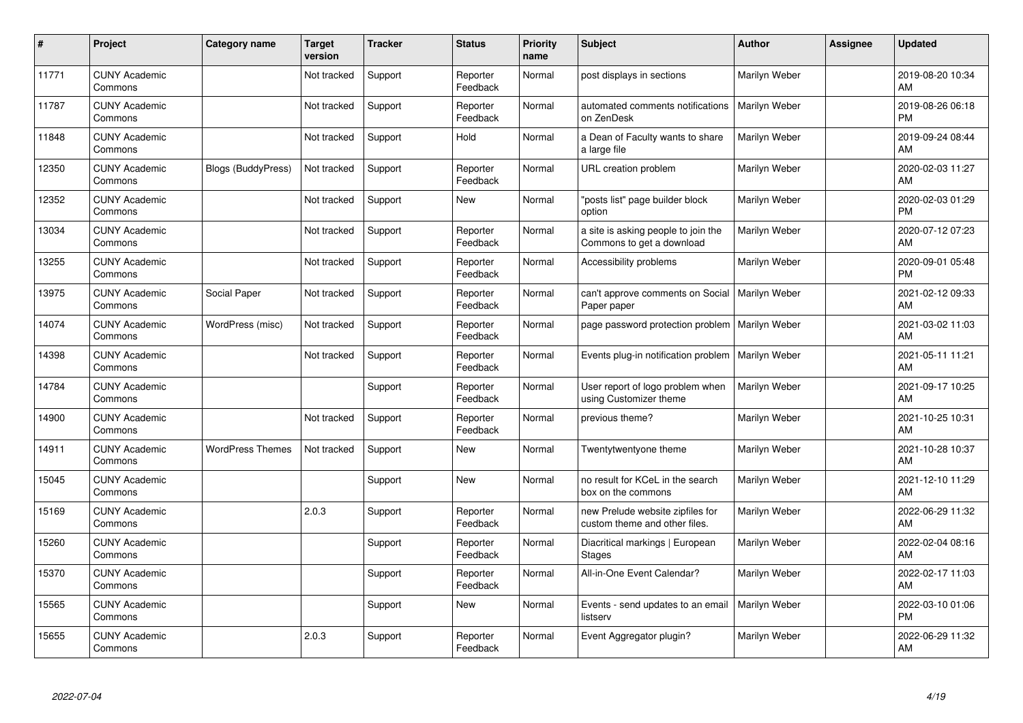| #     | Project                         | <b>Category name</b>      | <b>Target</b><br>version | <b>Tracker</b> | <b>Status</b>        | <b>Priority</b><br>name | <b>Subject</b>                                                    | <b>Author</b> | Assignee | <b>Updated</b>                |
|-------|---------------------------------|---------------------------|--------------------------|----------------|----------------------|-------------------------|-------------------------------------------------------------------|---------------|----------|-------------------------------|
| 11771 | <b>CUNY Academic</b><br>Commons |                           | Not tracked              | Support        | Reporter<br>Feedback | Normal                  | post displays in sections                                         | Marilyn Weber |          | 2019-08-20 10:34<br>AM        |
| 11787 | <b>CUNY Academic</b><br>Commons |                           | Not tracked              | Support        | Reporter<br>Feedback | Normal                  | automated comments notifications<br>on ZenDesk                    | Marilyn Weber |          | 2019-08-26 06:18<br><b>PM</b> |
| 11848 | <b>CUNY Academic</b><br>Commons |                           | Not tracked              | Support        | Hold                 | Normal                  | a Dean of Faculty wants to share<br>a large file                  | Marilyn Weber |          | 2019-09-24 08:44<br>AM        |
| 12350 | <b>CUNY Academic</b><br>Commons | <b>Blogs (BuddyPress)</b> | Not tracked              | Support        | Reporter<br>Feedback | Normal                  | URL creation problem                                              | Marilyn Weber |          | 2020-02-03 11:27<br>AM        |
| 12352 | <b>CUNY Academic</b><br>Commons |                           | Not tracked              | Support        | <b>New</b>           | Normal                  | 'posts list" page builder block<br>option                         | Marilyn Weber |          | 2020-02-03 01:29<br><b>PM</b> |
| 13034 | <b>CUNY Academic</b><br>Commons |                           | Not tracked              | Support        | Reporter<br>Feedback | Normal                  | a site is asking people to join the<br>Commons to get a download  | Marilyn Weber |          | 2020-07-12 07:23<br>AM        |
| 13255 | <b>CUNY Academic</b><br>Commons |                           | Not tracked              | Support        | Reporter<br>Feedback | Normal                  | Accessibility problems                                            | Marilyn Weber |          | 2020-09-01 05:48<br><b>PM</b> |
| 13975 | <b>CUNY Academic</b><br>Commons | Social Paper              | Not tracked              | Support        | Reporter<br>Feedback | Normal                  | can't approve comments on Social<br>Paper paper                   | Marilyn Weber |          | 2021-02-12 09:33<br>AM        |
| 14074 | <b>CUNY Academic</b><br>Commons | WordPress (misc)          | Not tracked              | Support        | Reporter<br>Feedback | Normal                  | page password protection problem                                  | Marilyn Weber |          | 2021-03-02 11:03<br>AM        |
| 14398 | <b>CUNY Academic</b><br>Commons |                           | Not tracked              | Support        | Reporter<br>Feedback | Normal                  | Events plug-in notification problem                               | Marilyn Weber |          | 2021-05-11 11:21<br>AM        |
| 14784 | <b>CUNY Academic</b><br>Commons |                           |                          | Support        | Reporter<br>Feedback | Normal                  | User report of logo problem when<br>using Customizer theme        | Marilyn Weber |          | 2021-09-17 10:25<br>AM        |
| 14900 | <b>CUNY Academic</b><br>Commons |                           | Not tracked              | Support        | Reporter<br>Feedback | Normal                  | previous theme?                                                   | Marilyn Weber |          | 2021-10-25 10:31<br>AM        |
| 14911 | <b>CUNY Academic</b><br>Commons | <b>WordPress Themes</b>   | Not tracked              | Support        | New                  | Normal                  | Twentytwentyone theme                                             | Marilyn Weber |          | 2021-10-28 10:37<br>AM        |
| 15045 | <b>CUNY Academic</b><br>Commons |                           |                          | Support        | New                  | Normal                  | no result for KCeL in the search<br>box on the commons            | Marilyn Weber |          | 2021-12-10 11:29<br>AM        |
| 15169 | <b>CUNY Academic</b><br>Commons |                           | 2.0.3                    | Support        | Reporter<br>Feedback | Normal                  | new Prelude website zipfiles for<br>custom theme and other files. | Marilyn Weber |          | 2022-06-29 11:32<br>AM        |
| 15260 | <b>CUNY Academic</b><br>Commons |                           |                          | Support        | Reporter<br>Feedback | Normal                  | Diacritical markings   European<br><b>Stages</b>                  | Marilyn Weber |          | 2022-02-04 08:16<br>AM        |
| 15370 | <b>CUNY Academic</b><br>Commons |                           |                          | Support        | Reporter<br>Feedback | Normal                  | All-in-One Event Calendar?                                        | Marilyn Weber |          | 2022-02-17 11:03<br>AM        |
| 15565 | <b>CUNY Academic</b><br>Commons |                           |                          | Support        | New                  | Normal                  | Events - send updates to an email<br>listserv                     | Marilyn Weber |          | 2022-03-10 01:06<br><b>PM</b> |
| 15655 | <b>CUNY Academic</b><br>Commons |                           | 2.0.3                    | Support        | Reporter<br>Feedback | Normal                  | Event Aggregator plugin?                                          | Marilyn Weber |          | 2022-06-29 11:32<br>AM        |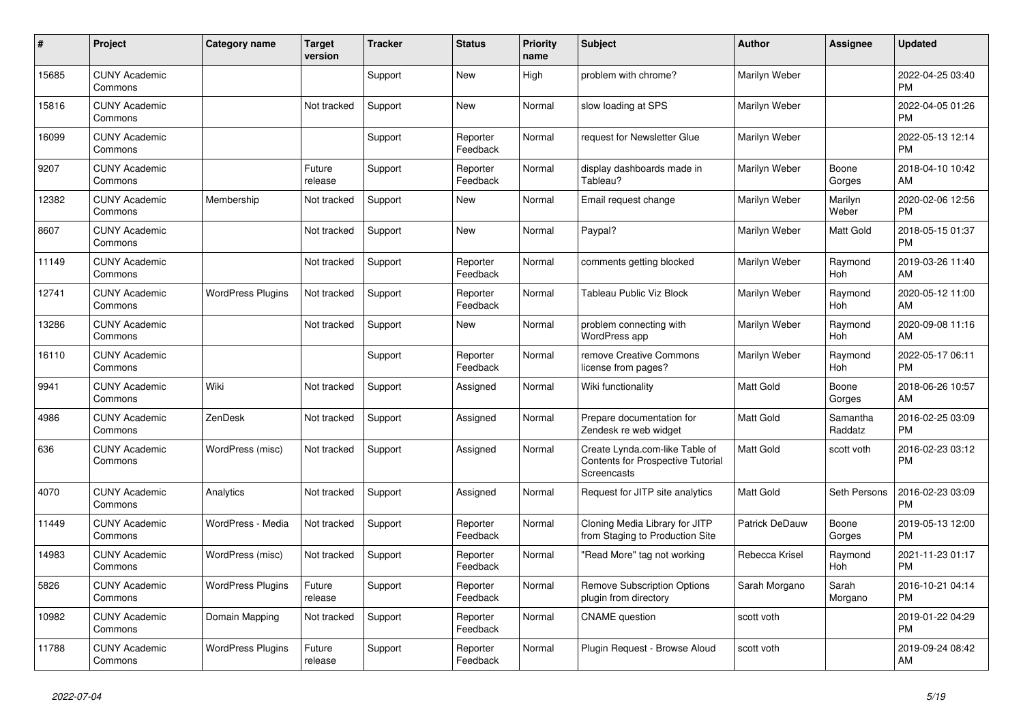| #     | Project                         | <b>Category name</b>     | <b>Target</b><br>version | <b>Tracker</b> | <b>Status</b>        | <b>Priority</b><br>name | <b>Subject</b>                                                                                   | <b>Author</b>    | Assignee            | <b>Updated</b>                |
|-------|---------------------------------|--------------------------|--------------------------|----------------|----------------------|-------------------------|--------------------------------------------------------------------------------------------------|------------------|---------------------|-------------------------------|
| 15685 | <b>CUNY Academic</b><br>Commons |                          |                          | Support        | New                  | High                    | problem with chrome?                                                                             | Marilyn Weber    |                     | 2022-04-25 03:40<br><b>PM</b> |
| 15816 | <b>CUNY Academic</b><br>Commons |                          | Not tracked              | Support        | New                  | Normal                  | slow loading at SPS                                                                              | Marilyn Weber    |                     | 2022-04-05 01:26<br><b>PM</b> |
| 16099 | <b>CUNY Academic</b><br>Commons |                          |                          | Support        | Reporter<br>Feedback | Normal                  | request for Newsletter Glue                                                                      | Marilyn Weber    |                     | 2022-05-13 12:14<br><b>PM</b> |
| 9207  | <b>CUNY Academic</b><br>Commons |                          | Future<br>release        | Support        | Reporter<br>Feedback | Normal                  | display dashboards made in<br>Tableau?                                                           | Marilyn Weber    | Boone<br>Gorges     | 2018-04-10 10:42<br>AM        |
| 12382 | <b>CUNY Academic</b><br>Commons | Membership               | Not tracked              | Support        | New                  | Normal                  | Email request change                                                                             | Marilyn Weber    | Marilyn<br>Weber    | 2020-02-06 12:56<br><b>PM</b> |
| 8607  | <b>CUNY Academic</b><br>Commons |                          | Not tracked              | Support        | <b>New</b>           | Normal                  | Paypal?                                                                                          | Marilyn Weber    | Matt Gold           | 2018-05-15 01:37<br><b>PM</b> |
| 11149 | <b>CUNY Academic</b><br>Commons |                          | Not tracked              | Support        | Reporter<br>Feedback | Normal                  | comments getting blocked                                                                         | Marilyn Weber    | Raymond<br>Hoh      | 2019-03-26 11:40<br>AM        |
| 12741 | <b>CUNY Academic</b><br>Commons | <b>WordPress Plugins</b> | Not tracked              | Support        | Reporter<br>Feedback | Normal                  | Tableau Public Viz Block                                                                         | Marilyn Weber    | Raymond<br>Hoh      | 2020-05-12 11:00<br>AM        |
| 13286 | <b>CUNY Academic</b><br>Commons |                          | Not tracked              | Support        | New                  | Normal                  | problem connecting with<br>WordPress app                                                         | Marilyn Weber    | Raymond<br>Hoh      | 2020-09-08 11:16<br>AM        |
| 16110 | <b>CUNY Academic</b><br>Commons |                          |                          | Support        | Reporter<br>Feedback | Normal                  | remove Creative Commons<br>license from pages?                                                   | Marilyn Weber    | Raymond<br>Hoh      | 2022-05-17 06:11<br><b>PM</b> |
| 9941  | <b>CUNY Academic</b><br>Commons | Wiki                     | Not tracked              | Support        | Assigned             | Normal                  | Wiki functionality                                                                               | <b>Matt Gold</b> | Boone<br>Gorges     | 2018-06-26 10:57<br>AM        |
| 4986  | <b>CUNY Academic</b><br>Commons | ZenDesk                  | Not tracked              | Support        | Assigned             | Normal                  | Prepare documentation for<br>Zendesk re web widget                                               | <b>Matt Gold</b> | Samantha<br>Raddatz | 2016-02-25 03:09<br><b>PM</b> |
| 636   | <b>CUNY Academic</b><br>Commons | WordPress (misc)         | Not tracked              | Support        | Assigned             | Normal                  | Create Lynda.com-like Table of<br><b>Contents for Prospective Tutorial</b><br><b>Screencasts</b> | Matt Gold        | scott voth          | 2016-02-23 03:12<br><b>PM</b> |
| 4070  | <b>CUNY Academic</b><br>Commons | Analytics                | Not tracked              | Support        | Assigned             | Normal                  | Request for JITP site analytics                                                                  | Matt Gold        | Seth Persons        | 2016-02-23 03:09<br><b>PM</b> |
| 11449 | <b>CUNY Academic</b><br>Commons | WordPress - Media        | Not tracked              | Support        | Reporter<br>Feedback | Normal                  | Cloning Media Library for JITP<br>from Staging to Production Site                                | Patrick DeDauw   | Boone<br>Gorges     | 2019-05-13 12:00<br>PM        |
| 14983 | <b>CUNY Academic</b><br>Commons | WordPress (misc)         | Not tracked              | Support        | Reporter<br>Feedback | Normal                  | "Read More" tag not working                                                                      | Rebecca Krisel   | Raymond<br>Hoh      | 2021-11-23 01:17<br><b>PM</b> |
| 5826  | <b>CUNY Academic</b><br>Commons | <b>WordPress Plugins</b> | Future<br>release        | Support        | Reporter<br>Feedback | Normal                  | <b>Remove Subscription Options</b><br>plugin from directory                                      | Sarah Morgano    | Sarah<br>Morgano    | 2016-10-21 04:14<br><b>PM</b> |
| 10982 | <b>CUNY Academic</b><br>Commons | Domain Mapping           | Not tracked              | Support        | Reporter<br>Feedback | Normal                  | <b>CNAME</b> question                                                                            | scott voth       |                     | 2019-01-22 04:29<br><b>PM</b> |
| 11788 | <b>CUNY Academic</b><br>Commons | <b>WordPress Plugins</b> | Future<br>release        | Support        | Reporter<br>Feedback | Normal                  | Plugin Request - Browse Aloud                                                                    | scott voth       |                     | 2019-09-24 08:42<br>AM        |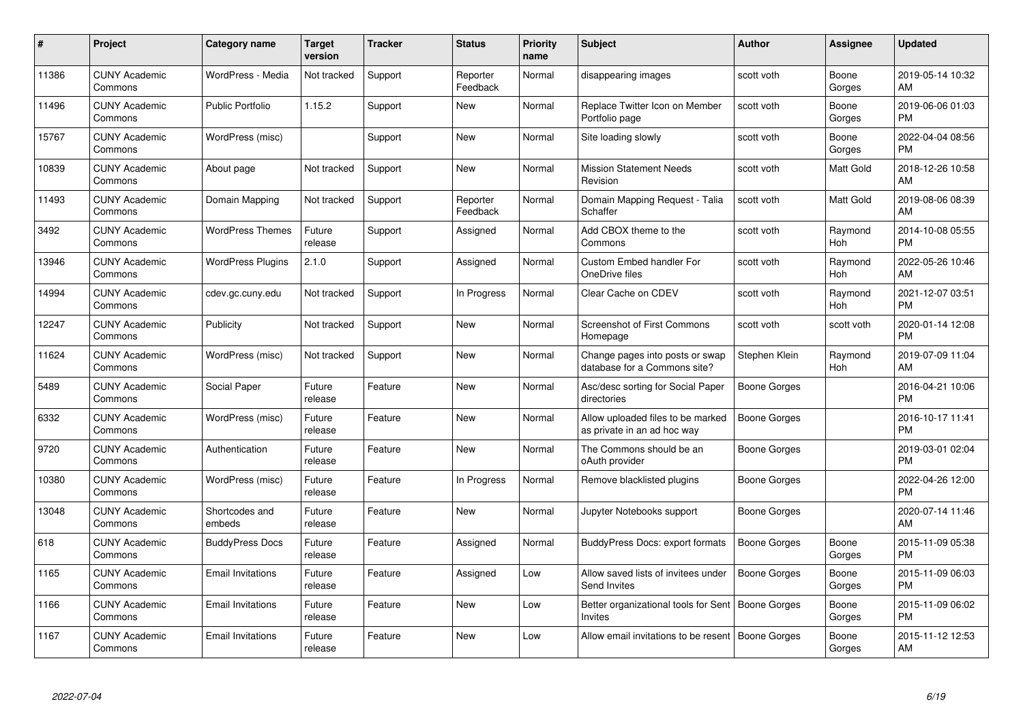| #     | Project                         | <b>Category name</b>     | <b>Target</b><br>version | <b>Tracker</b> | <b>Status</b>        | <b>Priority</b><br>name | <b>Subject</b>                                                   | <b>Author</b>       | <b>Assignee</b> | <b>Updated</b>                |
|-------|---------------------------------|--------------------------|--------------------------|----------------|----------------------|-------------------------|------------------------------------------------------------------|---------------------|-----------------|-------------------------------|
| 11386 | <b>CUNY Academic</b><br>Commons | WordPress - Media        | Not tracked              | Support        | Reporter<br>Feedback | Normal                  | disappearing images                                              | scott voth          | Boone<br>Gorges | 2019-05-14 10:32<br>AM        |
| 11496 | <b>CUNY Academic</b><br>Commons | <b>Public Portfolio</b>  | 1.15.2                   | Support        | New                  | Normal                  | Replace Twitter Icon on Member<br>Portfolio page                 | scott voth          | Boone<br>Gorges | 2019-06-06 01:03<br><b>PM</b> |
| 15767 | <b>CUNY Academic</b><br>Commons | WordPress (misc)         |                          | Support        | <b>New</b>           | Normal                  | Site loading slowly                                              | scott voth          | Boone<br>Gorges | 2022-04-04 08:56<br><b>PM</b> |
| 10839 | <b>CUNY Academic</b><br>Commons | About page               | Not tracked              | Support        | <b>New</b>           | Normal                  | <b>Mission Statement Needs</b><br>Revision                       | scott voth          | Matt Gold       | 2018-12-26 10:58<br>AM        |
| 11493 | <b>CUNY Academic</b><br>Commons | Domain Mapping           | Not tracked              | Support        | Reporter<br>Feedback | Normal                  | Domain Mapping Request - Talia<br>Schaffer                       | scott voth          | Matt Gold       | 2019-08-06 08:39<br>AM        |
| 3492  | <b>CUNY Academic</b><br>Commons | <b>WordPress Themes</b>  | Future<br>release        | Support        | Assigned             | Normal                  | Add CBOX theme to the<br>Commons                                 | scott voth          | Raymond<br>Hoh  | 2014-10-08 05:55<br><b>PM</b> |
| 13946 | <b>CUNY Academic</b><br>Commons | <b>WordPress Plugins</b> | 2.1.0                    | Support        | Assigned             | Normal                  | <b>Custom Embed handler For</b><br>OneDrive files                | scott voth          | Raymond<br>Hoh  | 2022-05-26 10:46<br>AM        |
| 14994 | <b>CUNY Academic</b><br>Commons | cdev.gc.cuny.edu         | Not tracked              | Support        | In Progress          | Normal                  | Clear Cache on CDEV                                              | scott voth          | Raymond<br>Hoh  | 2021-12-07 03:51<br><b>PM</b> |
| 12247 | <b>CUNY Academic</b><br>Commons | Publicity                | Not tracked              | Support        | New                  | Normal                  | Screenshot of First Commons<br>Homepage                          | scott voth          | scott voth      | 2020-01-14 12:08<br><b>PM</b> |
| 11624 | <b>CUNY Academic</b><br>Commons | WordPress (misc)         | Not tracked              | Support        | New                  | Normal                  | Change pages into posts or swap<br>database for a Commons site?  | Stephen Klein       | Raymond<br>Hoh  | 2019-07-09 11:04<br>AM        |
| 5489  | <b>CUNY Academic</b><br>Commons | Social Paper             | Future<br>release        | Feature        | New                  | Normal                  | Asc/desc sorting for Social Paper<br>directories                 | Boone Gorges        |                 | 2016-04-21 10:06<br><b>PM</b> |
| 6332  | <b>CUNY Academic</b><br>Commons | WordPress (misc)         | Future<br>release        | Feature        | New                  | Normal                  | Allow uploaded files to be marked<br>as private in an ad hoc way | Boone Gorges        |                 | 2016-10-17 11:41<br><b>PM</b> |
| 9720  | <b>CUNY Academic</b><br>Commons | Authentication           | Future<br>release        | Feature        | New                  | Normal                  | The Commons should be an<br>oAuth provider                       | Boone Gorges        |                 | 2019-03-01 02:04<br><b>PM</b> |
| 10380 | <b>CUNY Academic</b><br>Commons | WordPress (misc)         | Future<br>release        | Feature        | In Progress          | Normal                  | Remove blacklisted plugins                                       | Boone Gorges        |                 | 2022-04-26 12:00<br><b>PM</b> |
| 13048 | <b>CUNY Academic</b><br>Commons | Shortcodes and<br>embeds | Future<br>release        | Feature        | <b>New</b>           | Normal                  | Jupyter Notebooks support                                        | Boone Gorges        |                 | 2020-07-14 11:46<br>AM        |
| 618   | <b>CUNY Academic</b><br>Commons | <b>BuddyPress Docs</b>   | Future<br>release        | Feature        | Assigned             | Normal                  | <b>BuddyPress Docs: export formats</b>                           | <b>Boone Gorges</b> | Boone<br>Gorges | 2015-11-09 05:38<br><b>PM</b> |
| 1165  | <b>CUNY Academic</b><br>Commons | <b>Email Invitations</b> | Future<br>release        | Feature        | Assigned             | Low                     | Allow saved lists of invitees under<br>Send Invites              | Boone Gorges        | Boone<br>Gorges | 2015-11-09 06:03<br><b>PM</b> |
| 1166  | <b>CUNY Academic</b><br>Commons | <b>Email Invitations</b> | Future<br>release        | Feature        | New                  | Low                     | Better organizational tools for Sent<br>Invites                  | Boone Gorges        | Boone<br>Gorges | 2015-11-09 06:02<br><b>PM</b> |
| 1167  | <b>CUNY Academic</b><br>Commons | <b>Email Invitations</b> | Future<br>release        | Feature        | <b>New</b>           | Low                     | Allow email invitations to be resent                             | <b>Boone Gorges</b> | Boone<br>Gorges | 2015-11-12 12:53<br>AM        |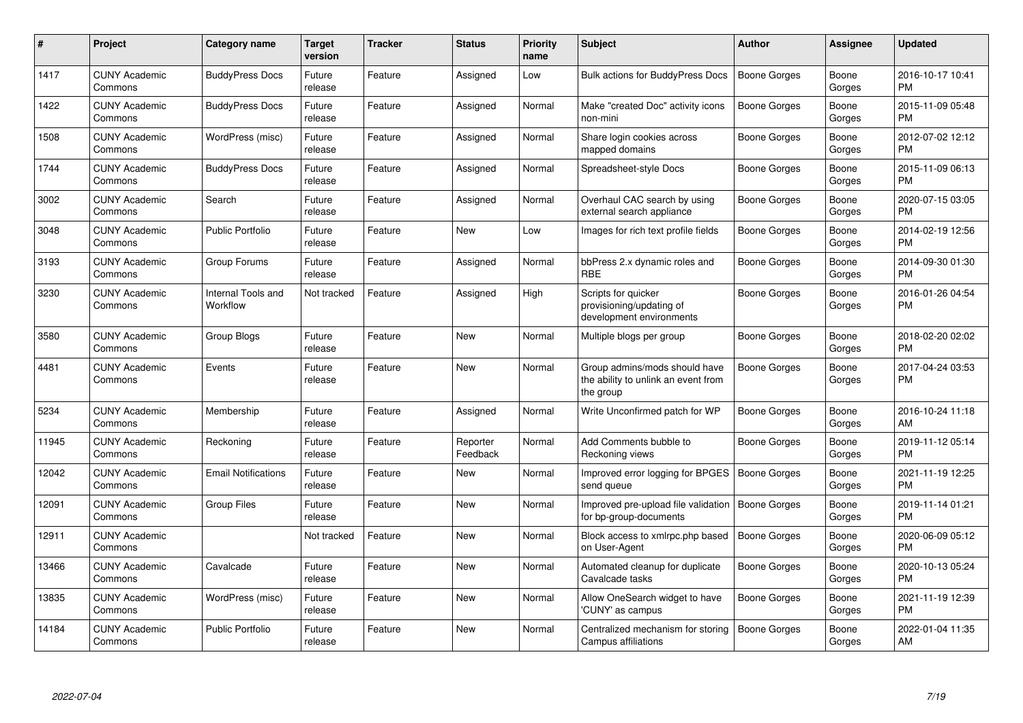| #     | Project                         | <b>Category name</b>           | Target<br>version | <b>Tracker</b> | <b>Status</b>        | Priority<br>name | <b>Subject</b>                                                                    | <b>Author</b>       | Assignee        | <b>Updated</b>                |
|-------|---------------------------------|--------------------------------|-------------------|----------------|----------------------|------------------|-----------------------------------------------------------------------------------|---------------------|-----------------|-------------------------------|
| 1417  | <b>CUNY Academic</b><br>Commons | <b>BuddyPress Docs</b>         | Future<br>release | Feature        | Assigned             | Low              | Bulk actions for BuddyPress Docs                                                  | <b>Boone Gorges</b> | Boone<br>Gorges | 2016-10-17 10:41<br><b>PM</b> |
| 1422  | <b>CUNY Academic</b><br>Commons | <b>BuddyPress Docs</b>         | Future<br>release | Feature        | Assigned             | Normal           | Make "created Doc" activity icons<br>non-mini                                     | Boone Gorges        | Boone<br>Gorges | 2015-11-09 05:48<br><b>PM</b> |
| 1508  | <b>CUNY Academic</b><br>Commons | WordPress (misc)               | Future<br>release | Feature        | Assigned             | Normal           | Share login cookies across<br>mapped domains                                      | Boone Gorges        | Boone<br>Gorges | 2012-07-02 12:12<br><b>PM</b> |
| 1744  | <b>CUNY Academic</b><br>Commons | <b>BuddyPress Docs</b>         | Future<br>release | Feature        | Assigned             | Normal           | Spreadsheet-style Docs                                                            | Boone Gorges        | Boone<br>Gorges | 2015-11-09 06:13<br><b>PM</b> |
| 3002  | <b>CUNY Academic</b><br>Commons | Search                         | Future<br>release | Feature        | Assigned             | Normal           | Overhaul CAC search by using<br>external search appliance                         | Boone Gorges        | Boone<br>Gorges | 2020-07-15 03:05<br><b>PM</b> |
| 3048  | <b>CUNY Academic</b><br>Commons | <b>Public Portfolio</b>        | Future<br>release | Feature        | <b>New</b>           | Low              | Images for rich text profile fields                                               | Boone Gorges        | Boone<br>Gorges | 2014-02-19 12:56<br><b>PM</b> |
| 3193  | <b>CUNY Academic</b><br>Commons | Group Forums                   | Future<br>release | Feature        | Assigned             | Normal           | bbPress 2.x dynamic roles and<br><b>RBE</b>                                       | Boone Gorges        | Boone<br>Gorges | 2014-09-30 01:30<br><b>PM</b> |
| 3230  | <b>CUNY Academic</b><br>Commons | Internal Tools and<br>Workflow | Not tracked       | Feature        | Assigned             | High             | Scripts for quicker<br>provisioning/updating of<br>development environments       | Boone Gorges        | Boone<br>Gorges | 2016-01-26 04:54<br><b>PM</b> |
| 3580  | <b>CUNY Academic</b><br>Commons | Group Blogs                    | Future<br>release | Feature        | <b>New</b>           | Normal           | Multiple blogs per group                                                          | Boone Gorges        | Boone<br>Gorges | 2018-02-20 02:02<br>PM.       |
| 4481  | <b>CUNY Academic</b><br>Commons | Events                         | Future<br>release | Feature        | New                  | Normal           | Group admins/mods should have<br>the ability to unlink an event from<br>the group | Boone Gorges        | Boone<br>Gorges | 2017-04-24 03:53<br>PM        |
| 5234  | <b>CUNY Academic</b><br>Commons | Membership                     | Future<br>release | Feature        | Assigned             | Normal           | Write Unconfirmed patch for WP                                                    | Boone Gorges        | Boone<br>Gorges | 2016-10-24 11:18<br>AM        |
| 11945 | <b>CUNY Academic</b><br>Commons | Reckoning                      | Future<br>release | Feature        | Reporter<br>Feedback | Normal           | Add Comments bubble to<br>Reckoning views                                         | Boone Gorges        | Boone<br>Gorges | 2019-11-12 05:14<br><b>PM</b> |
| 12042 | <b>CUNY Academic</b><br>Commons | <b>Email Notifications</b>     | Future<br>release | Feature        | New                  | Normal           | Improved error logging for BPGES<br>send queue                                    | <b>Boone Gorges</b> | Boone<br>Gorges | 2021-11-19 12:25<br><b>PM</b> |
| 12091 | <b>CUNY Academic</b><br>Commons | <b>Group Files</b>             | Future<br>release | Feature        | New                  | Normal           | Improved pre-upload file validation<br>for bp-group-documents                     | Boone Gorges        | Boone<br>Gorges | 2019-11-14 01:21<br><b>PM</b> |
| 12911 | <b>CUNY Academic</b><br>Commons |                                | Not tracked       | Feature        | <b>New</b>           | Normal           | Block access to xmlrpc.php based<br>on User-Agent                                 | <b>Boone Gorges</b> | Boone<br>Gorges | 2020-06-09 05:12<br><b>PM</b> |
| 13466 | <b>CUNY Academic</b><br>Commons | Cavalcade                      | Future<br>release | Feature        | <b>New</b>           | Normal           | Automated cleanup for duplicate<br>Cavalcade tasks                                | Boone Gorges        | Boone<br>Gorges | 2020-10-13 05:24<br>PM        |
| 13835 | <b>CUNY Academic</b><br>Commons | WordPress (misc)               | Future<br>release | Feature        | <b>New</b>           | Normal           | Allow OneSearch widget to have<br>'CUNY' as campus                                | Boone Gorges        | Boone<br>Gorges | 2021-11-19 12:39<br>PM        |
| 14184 | <b>CUNY Academic</b><br>Commons | <b>Public Portfolio</b>        | Future<br>release | Feature        | <b>New</b>           | Normal           | Centralized mechanism for storing<br>Campus affiliations                          | Boone Gorges        | Boone<br>Gorges | 2022-01-04 11:35<br>AM        |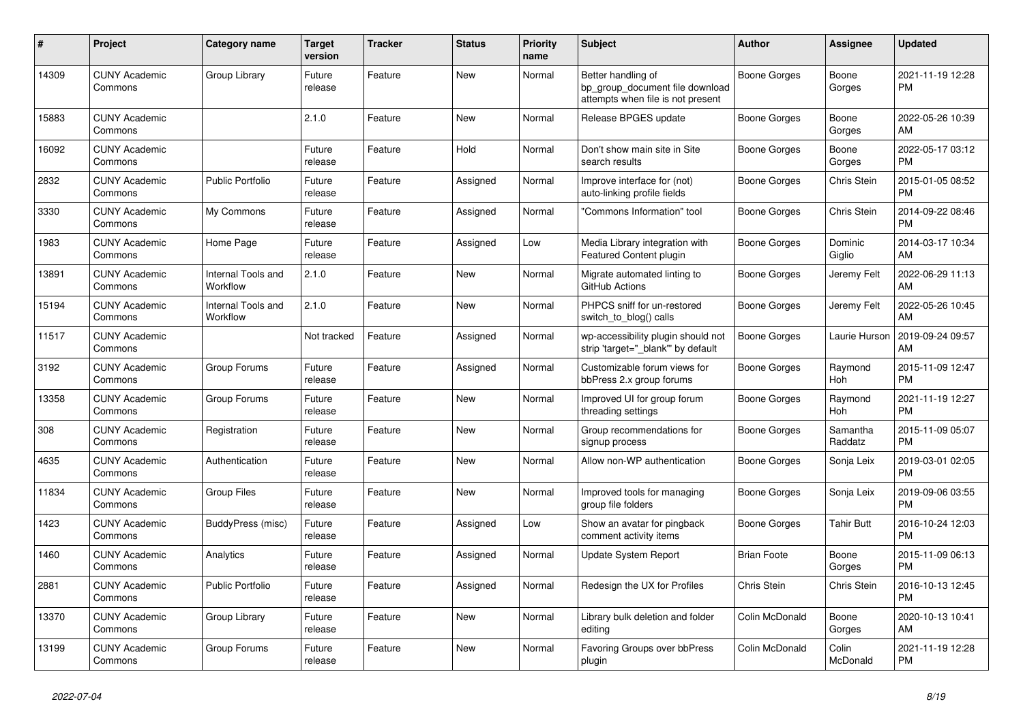| #     | <b>Project</b>                  | Category name                  | <b>Target</b><br>version | <b>Tracker</b> | <b>Status</b> | <b>Priority</b><br>name | <b>Subject</b>                                                                             | <b>Author</b>      | Assignee            | <b>Updated</b>                |
|-------|---------------------------------|--------------------------------|--------------------------|----------------|---------------|-------------------------|--------------------------------------------------------------------------------------------|--------------------|---------------------|-------------------------------|
| 14309 | <b>CUNY Academic</b><br>Commons | Group Library                  | Future<br>release        | Feature        | <b>New</b>    | Normal                  | Better handling of<br>bp group document file download<br>attempts when file is not present | Boone Gorges       | Boone<br>Gorges     | 2021-11-19 12:28<br><b>PM</b> |
| 15883 | <b>CUNY Academic</b><br>Commons |                                | 2.1.0                    | Feature        | <b>New</b>    | Normal                  | Release BPGES update                                                                       | Boone Gorges       | Boone<br>Gorges     | 2022-05-26 10:39<br>AM        |
| 16092 | <b>CUNY Academic</b><br>Commons |                                | Future<br>release        | Feature        | Hold          | Normal                  | Don't show main site in Site<br>search results                                             | Boone Gorges       | Boone<br>Gorges     | 2022-05-17 03:12<br><b>PM</b> |
| 2832  | <b>CUNY Academic</b><br>Commons | <b>Public Portfolio</b>        | Future<br>release        | Feature        | Assigned      | Normal                  | Improve interface for (not)<br>auto-linking profile fields                                 | Boone Gorges       | Chris Stein         | 2015-01-05 08:52<br><b>PM</b> |
| 3330  | <b>CUNY Academic</b><br>Commons | My Commons                     | Future<br>release        | Feature        | Assigned      | Normal                  | "Commons Information" tool                                                                 | Boone Gorges       | Chris Stein         | 2014-09-22 08:46<br><b>PM</b> |
| 1983  | <b>CUNY Academic</b><br>Commons | Home Page                      | Future<br>release        | Feature        | Assigned      | Low                     | Media Library integration with<br><b>Featured Content plugin</b>                           | Boone Gorges       | Dominic<br>Giglio   | 2014-03-17 10:34<br>AM        |
| 13891 | <b>CUNY Academic</b><br>Commons | Internal Tools and<br>Workflow | 2.1.0                    | Feature        | <b>New</b>    | Normal                  | Migrate automated linting to<br>GitHub Actions                                             | Boone Gorges       | Jeremy Felt         | 2022-06-29 11:13<br>AM        |
| 15194 | <b>CUNY Academic</b><br>Commons | Internal Tools and<br>Workflow | 2.1.0                    | Feature        | New           | Normal                  | PHPCS sniff for un-restored<br>switch_to_blog() calls                                      | Boone Gorges       | Jeremy Felt         | 2022-05-26 10:45<br>AM        |
| 11517 | <b>CUNY Academic</b><br>Commons |                                | Not tracked              | Feature        | Assigned      | Normal                  | wp-accessibility plugin should not<br>strip 'target="_blank" by default                    | Boone Gorges       | Laurie Hurson       | 2019-09-24 09:57<br>AM        |
| 3192  | <b>CUNY Academic</b><br>Commons | Group Forums                   | Future<br>release        | Feature        | Assigned      | Normal                  | Customizable forum views for<br>bbPress 2.x group forums                                   | Boone Gorges       | Raymond<br>Hoh      | 2015-11-09 12:47<br><b>PM</b> |
| 13358 | <b>CUNY Academic</b><br>Commons | Group Forums                   | Future<br>release        | Feature        | <b>New</b>    | Normal                  | Improved UI for group forum<br>threading settings                                          | Boone Gorges       | Raymond<br>Hoh      | 2021-11-19 12:27<br><b>PM</b> |
| 308   | <b>CUNY Academic</b><br>Commons | Registration                   | Future<br>release        | Feature        | <b>New</b>    | Normal                  | Group recommendations for<br>signup process                                                | Boone Gorges       | Samantha<br>Raddatz | 2015-11-09 05:07<br><b>PM</b> |
| 4635  | <b>CUNY Academic</b><br>Commons | Authentication                 | Future<br>release        | Feature        | <b>New</b>    | Normal                  | Allow non-WP authentication                                                                | Boone Gorges       | Sonja Leix          | 2019-03-01 02:05<br><b>PM</b> |
| 11834 | <b>CUNY Academic</b><br>Commons | <b>Group Files</b>             | Future<br>release        | Feature        | <b>New</b>    | Normal                  | Improved tools for managing<br>group file folders                                          | Boone Gorges       | Sonja Leix          | 2019-09-06 03:55<br><b>PM</b> |
| 1423  | <b>CUNY Academic</b><br>Commons | BuddyPress (misc)              | Future<br>release        | Feature        | Assigned      | Low                     | Show an avatar for pingback<br>comment activity items                                      | Boone Gorges       | <b>Tahir Butt</b>   | 2016-10-24 12:03<br><b>PM</b> |
| 1460  | <b>CUNY Academic</b><br>Commons | Analytics                      | Future<br>release        | Feature        | Assigned      | Normal                  | Update System Report                                                                       | <b>Brian Foote</b> | Boone<br>Gorges     | 2015-11-09 06:13<br><b>PM</b> |
| 2881  | <b>CUNY Academic</b><br>Commons | Public Portfolio               | Future<br>release        | Feature        | Assigned      | Normal                  | Redesign the UX for Profiles                                                               | Chris Stein        | Chris Stein         | 2016-10-13 12:45<br><b>PM</b> |
| 13370 | <b>CUNY Academic</b><br>Commons | Group Library                  | Future<br>release        | Feature        | New           | Normal                  | Library bulk deletion and folder<br>editing                                                | Colin McDonald     | Boone<br>Gorges     | 2020-10-13 10:41<br>AM        |
| 13199 | <b>CUNY Academic</b><br>Commons | Group Forums                   | Future<br>release        | Feature        | <b>New</b>    | Normal                  | Favoring Groups over bbPress<br>plugin                                                     | Colin McDonald     | Colin<br>McDonald   | 2021-11-19 12:28<br><b>PM</b> |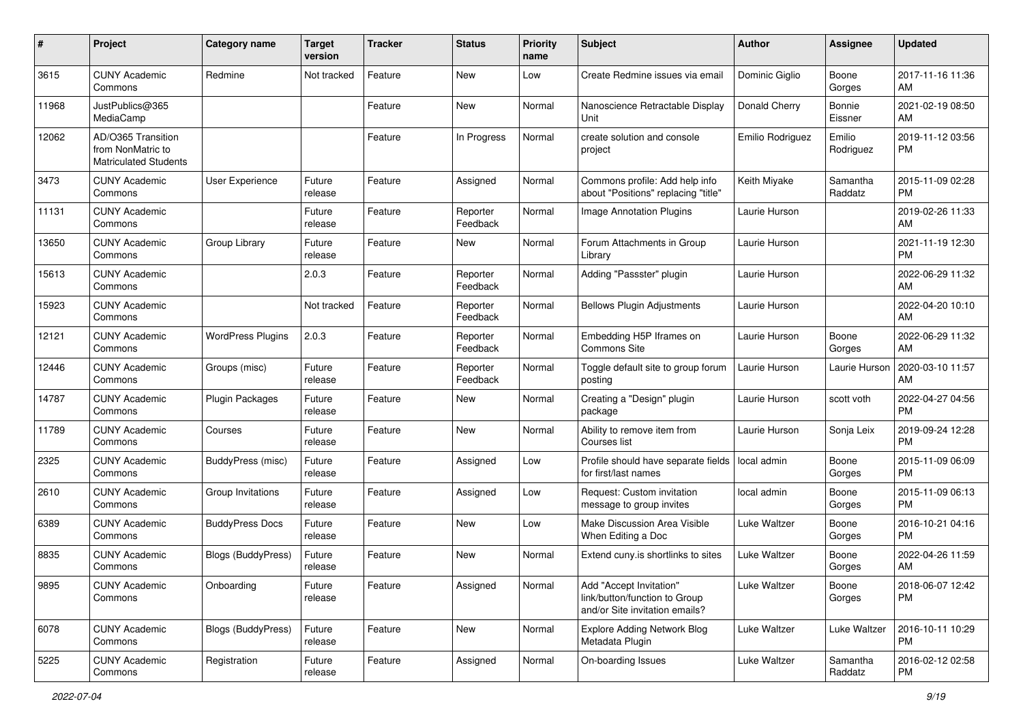| #     | Project                                                                 | <b>Category name</b>      | <b>Target</b><br>version | <b>Tracker</b> | <b>Status</b>        | Priority<br>name | <b>Subject</b>                                                                             | <b>Author</b>       | <b>Assignee</b>     | <b>Updated</b>                |
|-------|-------------------------------------------------------------------------|---------------------------|--------------------------|----------------|----------------------|------------------|--------------------------------------------------------------------------------------------|---------------------|---------------------|-------------------------------|
| 3615  | <b>CUNY Academic</b><br>Commons                                         | Redmine                   | Not tracked              | Feature        | New                  | Low              | Create Redmine issues via email                                                            | Dominic Giglio      | Boone<br>Gorges     | 2017-11-16 11:36<br>AM.       |
| 11968 | JustPublics@365<br>MediaCamp                                            |                           |                          | Feature        | New                  | Normal           | Nanoscience Retractable Display<br>Unit                                                    | Donald Cherry       | Bonnie<br>Eissner   | 2021-02-19 08:50<br>AM.       |
| 12062 | AD/O365 Transition<br>from NonMatric to<br><b>Matriculated Students</b> |                           |                          | Feature        | In Progress          | Normal           | create solution and console<br>project                                                     | Emilio Rodriguez    | Emilio<br>Rodriguez | 2019-11-12 03:56<br><b>PM</b> |
| 3473  | <b>CUNY Academic</b><br>Commons                                         | User Experience           | Future<br>release        | Feature        | Assigned             | Normal           | Commons profile: Add help info<br>about "Positions" replacing "title"                      | Keith Miyake        | Samantha<br>Raddatz | 2015-11-09 02:28<br><b>PM</b> |
| 11131 | <b>CUNY Academic</b><br>Commons                                         |                           | Future<br>release        | Feature        | Reporter<br>Feedback | Normal           | Image Annotation Plugins                                                                   | Laurie Hurson       |                     | 2019-02-26 11:33<br>AM        |
| 13650 | <b>CUNY Academic</b><br>Commons                                         | Group Library             | Future<br>release        | Feature        | New                  | Normal           | Forum Attachments in Group<br>Library                                                      | Laurie Hurson       |                     | 2021-11-19 12:30<br><b>PM</b> |
| 15613 | <b>CUNY Academic</b><br>Commons                                         |                           | 2.0.3                    | Feature        | Reporter<br>Feedback | Normal           | Adding "Passster" plugin                                                                   | Laurie Hurson       |                     | 2022-06-29 11:32<br>AM        |
| 15923 | <b>CUNY Academic</b><br>Commons                                         |                           | Not tracked              | Feature        | Reporter<br>Feedback | Normal           | <b>Bellows Plugin Adjustments</b>                                                          | Laurie Hurson       |                     | 2022-04-20 10:10<br>AM        |
| 12121 | <b>CUNY Academic</b><br>Commons                                         | <b>WordPress Plugins</b>  | 2.0.3                    | Feature        | Reporter<br>Feedback | Normal           | Embedding H5P Iframes on<br>Commons Site                                                   | Laurie Hurson       | Boone<br>Gorges     | 2022-06-29 11:32<br>AM.       |
| 12446 | <b>CUNY Academic</b><br>Commons                                         | Groups (misc)             | Future<br>release        | Feature        | Reporter<br>Feedback | Normal           | Toggle default site to group forum<br>posting                                              | Laurie Hurson       | Laurie Hurson       | 2020-03-10 11:57<br>AM        |
| 14787 | <b>CUNY Academic</b><br>Commons                                         | <b>Plugin Packages</b>    | Future<br>release        | Feature        | New                  | Normal           | Creating a "Design" plugin<br>package                                                      | Laurie Hurson       | scott voth          | 2022-04-27 04:56<br><b>PM</b> |
| 11789 | <b>CUNY Academic</b><br>Commons                                         | Courses                   | Future<br>release        | Feature        | New                  | Normal           | Ability to remove item from<br>Courses list                                                | Laurie Hurson       | Sonja Leix          | 2019-09-24 12:28<br><b>PM</b> |
| 2325  | <b>CUNY Academic</b><br>Commons                                         | <b>BuddyPress (misc)</b>  | Future<br>release        | Feature        | Assigned             | Low              | Profile should have separate fields<br>for first/last names                                | local admin         | Boone<br>Gorges     | 2015-11-09 06:09<br><b>PM</b> |
| 2610  | <b>CUNY Academic</b><br>Commons                                         | Group Invitations         | Future<br>release        | Feature        | Assigned             | Low              | Request: Custom invitation<br>message to group invites                                     | local admin         | Boone<br>Gorges     | 2015-11-09 06:13<br><b>PM</b> |
| 6389  | <b>CUNY Academic</b><br>Commons                                         | <b>BuddyPress Docs</b>    | Future<br>release        | Feature        | New                  | Low              | Make Discussion Area Visible<br>When Editing a Doc                                         | Luke Waltzer        | Boone<br>Gorges     | 2016-10-21 04:16<br><b>PM</b> |
| 8835  | <b>CUNY Academic</b><br>Commons                                         | Blogs (BuddyPress)        | Future<br>release        | Feature        | New                  | Normal           | Extend cuny is shortlinks to sites                                                         | <b>Luke Waltzer</b> | Boone<br>Gorges     | 2022-04-26 11:59<br>AM        |
| 9895  | <b>CUNY Academic</b><br>Commons                                         | Onboarding                | Future<br>release        | Feature        | Assigned             | Normal           | Add "Accept Invitation"<br>link/button/function to Group<br>and/or Site invitation emails? | Luke Waltzer        | Boone<br>Gorges     | 2018-06-07 12:42<br><b>PM</b> |
| 6078  | <b>CUNY Academic</b><br>Commons                                         | <b>Blogs (BuddyPress)</b> | Future<br>release        | Feature        | New                  | Normal           | Explore Adding Network Blog<br>Metadata Plugin                                             | Luke Waltzer        | Luke Waltzer        | 2016-10-11 10:29<br><b>PM</b> |
| 5225  | <b>CUNY Academic</b><br>Commons                                         | Registration              | Future<br>release        | Feature        | Assigned             | Normal           | On-boarding Issues                                                                         | Luke Waltzer        | Samantha<br>Raddatz | 2016-02-12 02:58<br><b>PM</b> |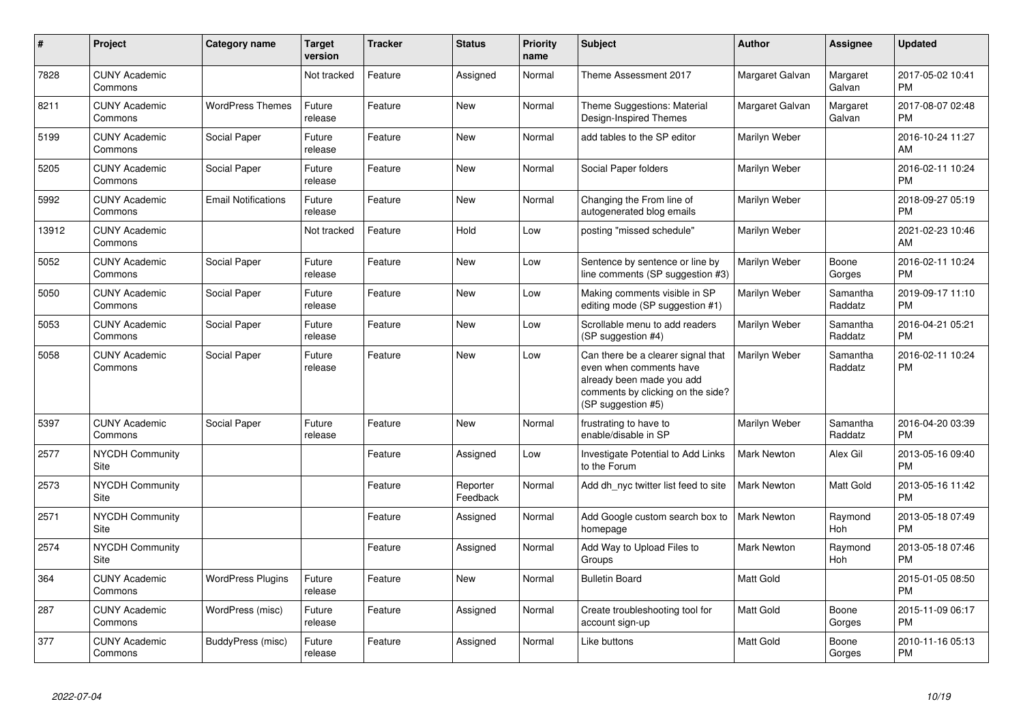| #     | <b>Project</b>                  | Category name              | <b>Target</b><br>version | <b>Tracker</b> | <b>Status</b>        | <b>Priority</b><br>name | <b>Subject</b>                                                                                                                                        | <b>Author</b>      | Assignee            | <b>Updated</b>                |
|-------|---------------------------------|----------------------------|--------------------------|----------------|----------------------|-------------------------|-------------------------------------------------------------------------------------------------------------------------------------------------------|--------------------|---------------------|-------------------------------|
| 7828  | <b>CUNY Academic</b><br>Commons |                            | Not tracked              | Feature        | Assigned             | Normal                  | Theme Assessment 2017                                                                                                                                 | Margaret Galvan    | Margaret<br>Galvan  | 2017-05-02 10:41<br><b>PM</b> |
| 8211  | <b>CUNY Academic</b><br>Commons | <b>WordPress Themes</b>    | Future<br>release        | Feature        | <b>New</b>           | Normal                  | Theme Suggestions: Material<br>Design-Inspired Themes                                                                                                 | Margaret Galvan    | Margaret<br>Galvan  | 2017-08-07 02:48<br><b>PM</b> |
| 5199  | <b>CUNY Academic</b><br>Commons | Social Paper               | Future<br>release        | Feature        | <b>New</b>           | Normal                  | add tables to the SP editor                                                                                                                           | Marilyn Weber      |                     | 2016-10-24 11:27<br>AM        |
| 5205  | <b>CUNY Academic</b><br>Commons | Social Paper               | Future<br>release        | Feature        | New                  | Normal                  | Social Paper folders                                                                                                                                  | Marilyn Weber      |                     | 2016-02-11 10:24<br><b>PM</b> |
| 5992  | <b>CUNY Academic</b><br>Commons | <b>Email Notifications</b> | Future<br>release        | Feature        | New                  | Normal                  | Changing the From line of<br>autogenerated blog emails                                                                                                | Marilyn Weber      |                     | 2018-09-27 05:19<br><b>PM</b> |
| 13912 | <b>CUNY Academic</b><br>Commons |                            | Not tracked              | Feature        | Hold                 | Low                     | posting "missed schedule"                                                                                                                             | Marilyn Weber      |                     | 2021-02-23 10:46<br>AM        |
| 5052  | <b>CUNY Academic</b><br>Commons | Social Paper               | Future<br>release        | Feature        | <b>New</b>           | Low                     | Sentence by sentence or line by<br>line comments (SP suggestion #3)                                                                                   | Marilyn Weber      | Boone<br>Gorges     | 2016-02-11 10:24<br><b>PM</b> |
| 5050  | <b>CUNY Academic</b><br>Commons | Social Paper               | Future<br>release        | Feature        | <b>New</b>           | Low                     | Making comments visible in SP<br>editing mode (SP suggestion #1)                                                                                      | Marilyn Weber      | Samantha<br>Raddatz | 2019-09-17 11:10<br><b>PM</b> |
| 5053  | <b>CUNY Academic</b><br>Commons | Social Paper               | Future<br>release        | Feature        | New                  | Low                     | Scrollable menu to add readers<br>(SP suggestion #4)                                                                                                  | Marilyn Weber      | Samantha<br>Raddatz | 2016-04-21 05:21<br><b>PM</b> |
| 5058  | <b>CUNY Academic</b><br>Commons | Social Paper               | Future<br>release        | Feature        | <b>New</b>           | Low                     | Can there be a clearer signal that<br>even when comments have<br>already been made you add<br>comments by clicking on the side?<br>(SP suggestion #5) | Marilyn Weber      | Samantha<br>Raddatz | 2016-02-11 10:24<br><b>PM</b> |
| 5397  | <b>CUNY Academic</b><br>Commons | Social Paper               | Future<br>release        | Feature        | <b>New</b>           | Normal                  | frustrating to have to<br>enable/disable in SP                                                                                                        | Marilyn Weber      | Samantha<br>Raddatz | 2016-04-20 03:39<br><b>PM</b> |
| 2577  | <b>NYCDH Community</b><br>Site  |                            |                          | Feature        | Assigned             | Low                     | Investigate Potential to Add Links<br>to the Forum                                                                                                    | Mark Newton        | Alex Gil            | 2013-05-16 09:40<br><b>PM</b> |
| 2573  | <b>NYCDH Community</b><br>Site  |                            |                          | Feature        | Reporter<br>Feedback | Normal                  | Add dh nyc twitter list feed to site                                                                                                                  | Mark Newton        | Matt Gold           | 2013-05-16 11:42<br><b>PM</b> |
| 2571  | <b>NYCDH Community</b><br>Site  |                            |                          | Feature        | Assigned             | Normal                  | Add Google custom search box to<br>homepage                                                                                                           | <b>Mark Newton</b> | Raymond<br>Hoh      | 2013-05-18 07:49<br><b>PM</b> |
| 2574  | <b>NYCDH Community</b><br>Site  |                            |                          | Feature        | Assigned             | Normal                  | Add Way to Upload Files to<br>Groups                                                                                                                  | <b>Mark Newton</b> | Raymond<br>Hoh      | 2013-05-18 07:46<br><b>PM</b> |
| 364   | <b>CUNY Academic</b><br>Commons | <b>WordPress Plugins</b>   | Future<br>release        | Feature        | <b>New</b>           | Normal                  | <b>Bulletin Board</b>                                                                                                                                 | <b>Matt Gold</b>   |                     | 2015-01-05 08:50<br><b>PM</b> |
| 287   | <b>CUNY Academic</b><br>Commons | WordPress (misc)           | Future<br>release        | Feature        | Assigned             | Normal                  | Create troubleshooting tool for<br>account sign-up                                                                                                    | <b>Matt Gold</b>   | Boone<br>Gorges     | 2015-11-09 06:17<br><b>PM</b> |
| 377   | <b>CUNY Academic</b><br>Commons | BuddyPress (misc)          | Future<br>release        | Feature        | Assigned             | Normal                  | Like buttons                                                                                                                                          | <b>Matt Gold</b>   | Boone<br>Gorges     | 2010-11-16 05:13<br>PM        |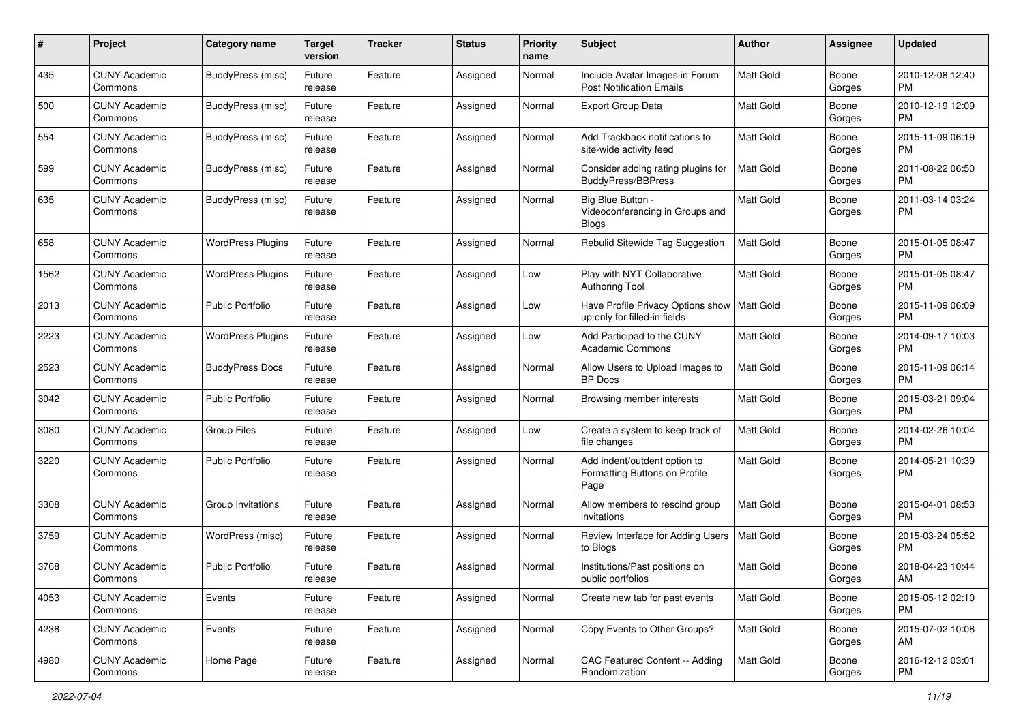| #    | Project                         | <b>Category name</b>     | <b>Target</b><br>version | <b>Tracker</b> | <b>Status</b> | <b>Priority</b><br>name | Subject                                                                       | Author           | Assignee        | <b>Updated</b>                |
|------|---------------------------------|--------------------------|--------------------------|----------------|---------------|-------------------------|-------------------------------------------------------------------------------|------------------|-----------------|-------------------------------|
| 435  | <b>CUNY Academic</b><br>Commons | BuddyPress (misc)        | Future<br>release        | Feature        | Assigned      | Normal                  | Include Avatar Images in Forum<br><b>Post Notification Emails</b>             | <b>Matt Gold</b> | Boone<br>Gorges | 2010-12-08 12:40<br>PM.       |
| 500  | <b>CUNY Academic</b><br>Commons | <b>BuddyPress (misc)</b> | Future<br>release        | Feature        | Assigned      | Normal                  | Export Group Data                                                             | Matt Gold        | Boone<br>Gorges | 2010-12-19 12:09<br><b>PM</b> |
| 554  | CUNY Academic<br>Commons        | <b>BuddyPress (misc)</b> | Future<br>release        | Feature        | Assigned      | Normal                  | Add Trackback notifications to<br>site-wide activity feed                     | <b>Matt Gold</b> | Boone<br>Gorges | 2015-11-09 06:19<br><b>PM</b> |
| 599  | <b>CUNY Academic</b><br>Commons | BuddyPress (misc)        | Future<br>release        | Feature        | Assigned      | Normal                  | Consider adding rating plugins for<br>BuddyPress/BBPress                      | <b>Matt Gold</b> | Boone<br>Gorges | 2011-08-22 06:50<br><b>PM</b> |
| 635  | <b>CUNY Academic</b><br>Commons | BuddyPress (misc)        | Future<br>release        | Feature        | Assigned      | Normal                  | Big Blue Button -<br>Videoconferencing in Groups and<br><b>Blogs</b>          | <b>Matt Gold</b> | Boone<br>Gorges | 2011-03-14 03:24<br><b>PM</b> |
| 658  | <b>CUNY Academic</b><br>Commons | <b>WordPress Plugins</b> | Future<br>release        | Feature        | Assigned      | Normal                  | Rebulid Sitewide Tag Suggestion                                               | <b>Matt Gold</b> | Boone<br>Gorges | 2015-01-05 08:47<br><b>PM</b> |
| 1562 | <b>CUNY Academic</b><br>Commons | <b>WordPress Plugins</b> | Future<br>release        | Feature        | Assigned      | Low                     | Play with NYT Collaborative<br><b>Authoring Tool</b>                          | <b>Matt Gold</b> | Boone<br>Gorges | 2015-01-05 08:47<br><b>PM</b> |
| 2013 | <b>CUNY Academic</b><br>Commons | <b>Public Portfolio</b>  | Future<br>release        | Feature        | Assigned      | Low                     | Have Profile Privacy Options show   Matt Gold<br>up only for filled-in fields |                  | Boone<br>Gorges | 2015-11-09 06:09<br><b>PM</b> |
| 2223 | <b>CUNY Academic</b><br>Commons | <b>WordPress Plugins</b> | Future<br>release        | Feature        | Assigned      | Low                     | Add Participad to the CUNY<br><b>Academic Commons</b>                         | <b>Matt Gold</b> | Boone<br>Gorges | 2014-09-17 10:03<br>PM.       |
| 2523 | <b>CUNY Academic</b><br>Commons | <b>BuddyPress Docs</b>   | Future<br>release        | Feature        | Assigned      | Normal                  | Allow Users to Upload Images to<br><b>BP</b> Docs                             | <b>Matt Gold</b> | Boone<br>Gorges | 2015-11-09 06:14<br><b>PM</b> |
| 3042 | CUNY Academic<br>Commons        | <b>Public Portfolio</b>  | Future<br>release        | Feature        | Assigned      | Normal                  | Browsing member interests                                                     | Matt Gold        | Boone<br>Gorges | 2015-03-21 09:04<br><b>PM</b> |
| 3080 | <b>CUNY Academic</b><br>Commons | <b>Group Files</b>       | Future<br>release        | Feature        | Assigned      | Low                     | Create a system to keep track of<br>file changes                              | Matt Gold        | Boone<br>Gorges | 2014-02-26 10:04<br><b>PM</b> |
| 3220 | CUNY Academic<br>Commons        | <b>Public Portfolio</b>  | Future<br>release        | Feature        | Assigned      | Normal                  | Add indent/outdent option to<br>Formatting Buttons on Profile<br>Page         | <b>Matt Gold</b> | Boone<br>Gorges | 2014-05-21 10:39<br><b>PM</b> |
| 3308 | <b>CUNY Academic</b><br>Commons | Group Invitations        | Future<br>release        | Feature        | Assigned      | Normal                  | Allow members to rescind group<br>invitations                                 | Matt Gold        | Boone<br>Gorges | 2015-04-01 08:53<br><b>PM</b> |
| 3759 | <b>CUNY Academic</b><br>Commons | WordPress (misc)         | Future<br>release        | Feature        | Assigned      | Normal                  | Review Interface for Adding Users<br>to Blogs                                 | Matt Gold        | Boone<br>Gorges | 2015-03-24 05:52<br><b>PM</b> |
| 3768 | <b>CUNY Academic</b><br>Commons | <b>Public Portfolio</b>  | Future<br>release        | Feature        | Assigned      | Normal                  | Institutions/Past positions on<br>public portfolios                           | Matt Gold        | Boone<br>Gorges | 2018-04-23 10:44<br>AM        |
| 4053 | <b>CUNY Academic</b><br>Commons | Events                   | Future<br>release        | Feature        | Assigned      | Normal                  | Create new tab for past events                                                | Matt Gold        | Boone<br>Gorges | 2015-05-12 02:10<br><b>PM</b> |
| 4238 | <b>CUNY Academic</b><br>Commons | Events                   | Future<br>release        | Feature        | Assigned      | Normal                  | Copy Events to Other Groups?                                                  | <b>Matt Gold</b> | Boone<br>Gorges | 2015-07-02 10:08<br>AM        |
| 4980 | <b>CUNY Academic</b><br>Commons | Home Page                | Future<br>release        | Feature        | Assigned      | Normal                  | CAC Featured Content -- Adding<br>Randomization                               | Matt Gold        | Boone<br>Gorges | 2016-12-12 03:01<br>PM        |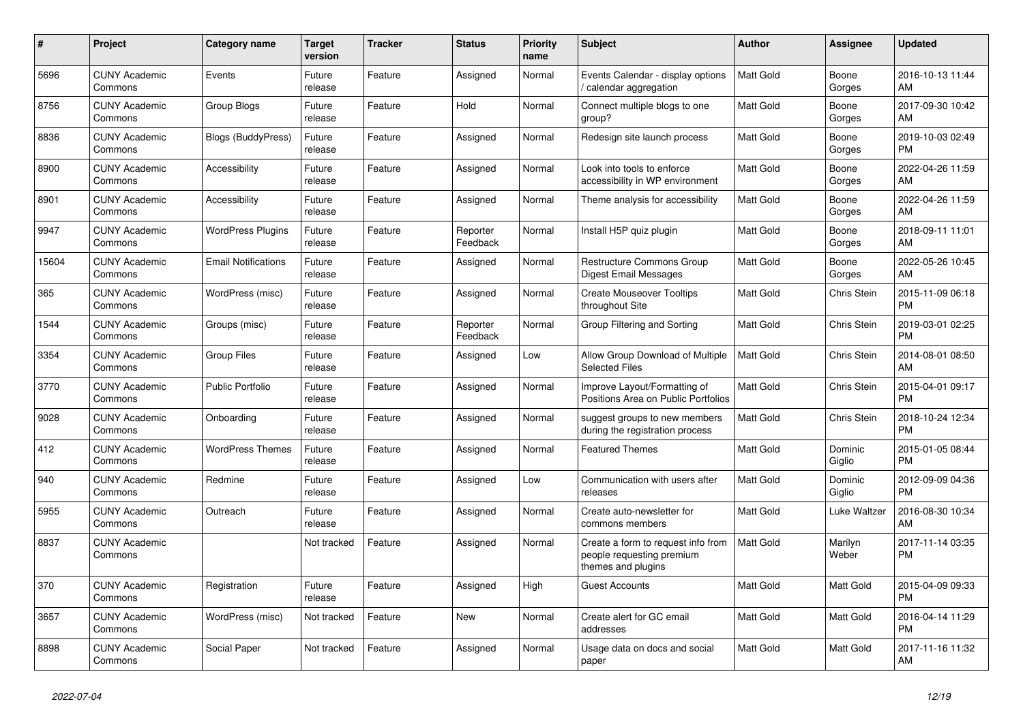| #     | Project                         | <b>Category name</b>       | <b>Target</b><br>version | <b>Tracker</b> | <b>Status</b>        | <b>Priority</b><br>name | <b>Subject</b>                                                                        | <b>Author</b>    | Assignee          | <b>Updated</b>                |
|-------|---------------------------------|----------------------------|--------------------------|----------------|----------------------|-------------------------|---------------------------------------------------------------------------------------|------------------|-------------------|-------------------------------|
| 5696  | <b>CUNY Academic</b><br>Commons | Events                     | Future<br>release        | Feature        | Assigned             | Normal                  | Events Calendar - display options<br>calendar aggregation                             | <b>Matt Gold</b> | Boone<br>Gorges   | 2016-10-13 11:44<br>AM        |
| 8756  | <b>CUNY Academic</b><br>Commons | Group Blogs                | Future<br>release        | Feature        | Hold                 | Normal                  | Connect multiple blogs to one<br>group?                                               | Matt Gold        | Boone<br>Gorges   | 2017-09-30 10:42<br>AM        |
| 8836  | <b>CUNY Academic</b><br>Commons | Blogs (BuddyPress)         | Future<br>release        | Feature        | Assigned             | Normal                  | Redesign site launch process                                                          | <b>Matt Gold</b> | Boone<br>Gorges   | 2019-10-03 02:49<br><b>PM</b> |
| 8900  | <b>CUNY Academic</b><br>Commons | Accessibility              | Future<br>release        | Feature        | Assigned             | Normal                  | Look into tools to enforce<br>accessibility in WP environment                         | Matt Gold        | Boone<br>Gorges   | 2022-04-26 11:59<br>AM        |
| 8901  | <b>CUNY Academic</b><br>Commons | Accessibility              | Future<br>release        | Feature        | Assigned             | Normal                  | Theme analysis for accessibility                                                      | Matt Gold        | Boone<br>Gorges   | 2022-04-26 11:59<br>AM        |
| 9947  | <b>CUNY Academic</b><br>Commons | <b>WordPress Plugins</b>   | Future<br>release        | Feature        | Reporter<br>Feedback | Normal                  | Install H5P quiz plugin                                                               | <b>Matt Gold</b> | Boone<br>Gorges   | 2018-09-11 11:01<br>AM        |
| 15604 | <b>CUNY Academic</b><br>Commons | <b>Email Notifications</b> | Future<br>release        | Feature        | Assigned             | Normal                  | <b>Restructure Commons Group</b><br>Digest Email Messages                             | <b>Matt Gold</b> | Boone<br>Gorges   | 2022-05-26 10:45<br>AM        |
| 365   | <b>CUNY Academic</b><br>Commons | WordPress (misc)           | Future<br>release        | Feature        | Assigned             | Normal                  | <b>Create Mouseover Tooltips</b><br>throughout Site                                   | <b>Matt Gold</b> | Chris Stein       | 2015-11-09 06:18<br><b>PM</b> |
| 1544  | <b>CUNY Academic</b><br>Commons | Groups (misc)              | Future<br>release        | Feature        | Reporter<br>Feedback | Normal                  | Group Filtering and Sorting                                                           | Matt Gold        | Chris Stein       | 2019-03-01 02:25<br><b>PM</b> |
| 3354  | <b>CUNY Academic</b><br>Commons | Group Files                | Future<br>release        | Feature        | Assigned             | Low                     | Allow Group Download of Multiple<br><b>Selected Files</b>                             | <b>Matt Gold</b> | Chris Stein       | 2014-08-01 08:50<br>AM        |
| 3770  | <b>CUNY Academic</b><br>Commons | <b>Public Portfolio</b>    | Future<br>release        | Feature        | Assigned             | Normal                  | Improve Layout/Formatting of<br>Positions Area on Public Portfolios                   | Matt Gold        | Chris Stein       | 2015-04-01 09:17<br><b>PM</b> |
| 9028  | <b>CUNY Academic</b><br>Commons | Onboarding                 | Future<br>release        | Feature        | Assigned             | Normal                  | suggest groups to new members<br>during the registration process                      | Matt Gold        | Chris Stein       | 2018-10-24 12:34<br><b>PM</b> |
| 412   | <b>CUNY Academic</b><br>Commons | <b>WordPress Themes</b>    | Future<br>release        | Feature        | Assigned             | Normal                  | <b>Featured Themes</b>                                                                | <b>Matt Gold</b> | Dominic<br>Giglio | 2015-01-05 08:44<br><b>PM</b> |
| 940   | <b>CUNY Academic</b><br>Commons | Redmine                    | Future<br>release        | Feature        | Assigned             | Low                     | Communication with users after<br>releases                                            | <b>Matt Gold</b> | Dominic<br>Giglio | 2012-09-09 04:36<br><b>PM</b> |
| 5955  | <b>CUNY Academic</b><br>Commons | Outreach                   | Future<br>release        | Feature        | Assigned             | Normal                  | Create auto-newsletter for<br>commons members                                         | Matt Gold        | Luke Waltzer      | 2016-08-30 10:34<br>AM        |
| 8837  | <b>CUNY Academic</b><br>Commons |                            | Not tracked              | Feature        | Assigned             | Normal                  | Create a form to request info from<br>people requesting premium<br>themes and plugins | <b>Matt Gold</b> | Marilyn<br>Weber  | 2017-11-14 03:35<br><b>PM</b> |
| 370   | <b>CUNY Academic</b><br>Commons | Registration               | Future<br>release        | Feature        | Assigned             | High                    | <b>Guest Accounts</b>                                                                 | <b>Matt Gold</b> | Matt Gold         | 2015-04-09 09:33<br><b>PM</b> |
| 3657  | <b>CUNY Academic</b><br>Commons | WordPress (misc)           | Not tracked              | Feature        | New                  | Normal                  | Create alert for GC email<br>addresses                                                | Matt Gold        | Matt Gold         | 2016-04-14 11:29<br><b>PM</b> |
| 8898  | <b>CUNY Academic</b><br>Commons | Social Paper               | Not tracked              | Feature        | Assigned             | Normal                  | Usage data on docs and social<br>paper                                                | <b>Matt Gold</b> | Matt Gold         | 2017-11-16 11:32<br>AM        |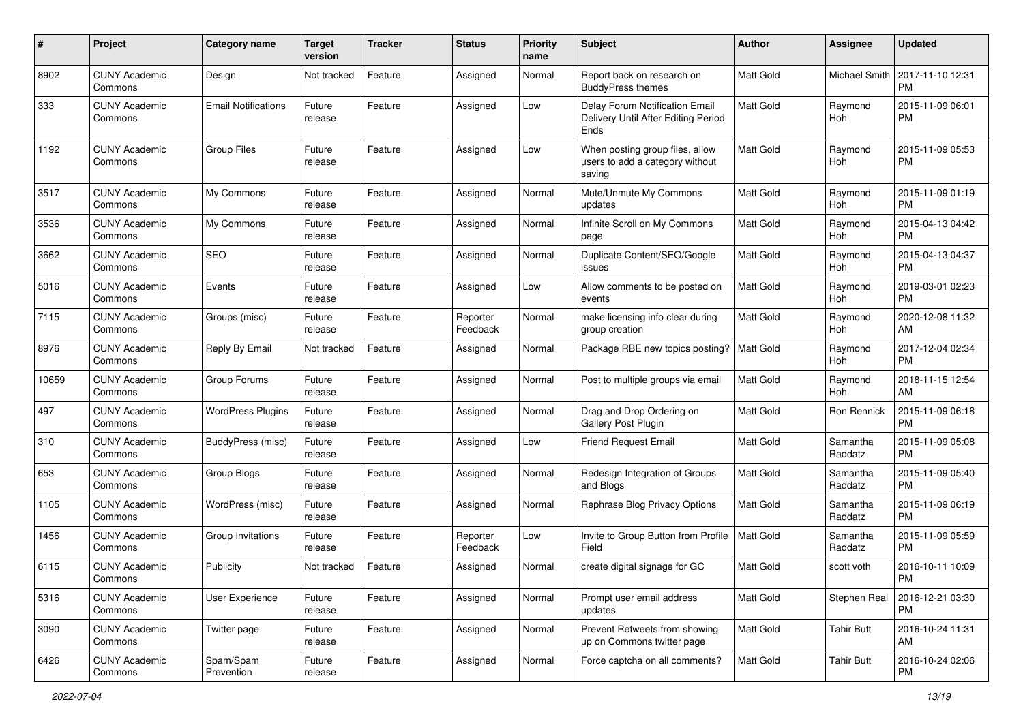| #     | Project                         | <b>Category name</b>       | <b>Target</b><br>version | <b>Tracker</b> | <b>Status</b>        | <b>Priority</b><br>name | Subject                                                                       | Author           | Assignee            | <b>Updated</b>                |
|-------|---------------------------------|----------------------------|--------------------------|----------------|----------------------|-------------------------|-------------------------------------------------------------------------------|------------------|---------------------|-------------------------------|
| 8902  | <b>CUNY Academic</b><br>Commons | Design                     | Not tracked              | Feature        | Assigned             | Normal                  | Report back on research on<br><b>BuddyPress themes</b>                        | <b>Matt Gold</b> | Michael Smith       | 2017-11-10 12:31<br>PM        |
| 333   | <b>CUNY Academic</b><br>Commons | <b>Email Notifications</b> | Future<br>release        | Feature        | Assigned             | Low                     | Delay Forum Notification Email<br>Delivery Until After Editing Period<br>Ends | <b>Matt Gold</b> | Raymond<br>Hoh      | 2015-11-09 06:01<br>PM        |
| 1192  | <b>CUNY Academic</b><br>Commons | <b>Group Files</b>         | Future<br>release        | Feature        | Assigned             | Low                     | When posting group files, allow<br>users to add a category without<br>saving  | <b>Matt Gold</b> | Raymond<br>Hoh      | 2015-11-09 05:53<br><b>PM</b> |
| 3517  | <b>CUNY Academic</b><br>Commons | My Commons                 | Future<br>release        | Feature        | Assigned             | Normal                  | Mute/Unmute My Commons<br>updates                                             | <b>Matt Gold</b> | Raymond<br>Hoh      | 2015-11-09 01:19<br><b>PM</b> |
| 3536  | <b>CUNY Academic</b><br>Commons | My Commons                 | Future<br>release        | Feature        | Assigned             | Normal                  | Infinite Scroll on My Commons<br>page                                         | Matt Gold        | Raymond<br>Hoh      | 2015-04-13 04:42<br><b>PM</b> |
| 3662  | <b>CUNY Academic</b><br>Commons | <b>SEO</b>                 | Future<br>release        | Feature        | Assigned             | Normal                  | Duplicate Content/SEO/Google<br>issues                                        | Matt Gold        | Raymond<br>Hoh      | 2015-04-13 04:37<br><b>PM</b> |
| 5016  | <b>CUNY Academic</b><br>Commons | Events                     | Future<br>release        | Feature        | Assigned             | Low                     | Allow comments to be posted on<br>events                                      | <b>Matt Gold</b> | Raymond<br>Hoh      | 2019-03-01 02:23<br><b>PM</b> |
| 7115  | <b>CUNY Academic</b><br>Commons | Groups (misc)              | Future<br>release        | Feature        | Reporter<br>Feedback | Normal                  | make licensing info clear during<br>group creation                            | Matt Gold        | Raymond<br>Hoh      | 2020-12-08 11:32<br>AM.       |
| 8976  | <b>CUNY Academic</b><br>Commons | Reply By Email             | Not tracked              | Feature        | Assigned             | Normal                  | Package RBE new topics posting?                                               | <b>Matt Gold</b> | Raymond<br>Hoh      | 2017-12-04 02:34<br><b>PM</b> |
| 10659 | <b>CUNY Academic</b><br>Commons | Group Forums               | Future<br>release        | Feature        | Assigned             | Normal                  | Post to multiple groups via email                                             | <b>Matt Gold</b> | Raymond<br>Hoh      | 2018-11-15 12:54<br>AM        |
| 497   | <b>CUNY Academic</b><br>Commons | <b>WordPress Plugins</b>   | Future<br>release        | Feature        | Assigned             | Normal                  | Drag and Drop Ordering on<br>Gallery Post Plugin                              | Matt Gold        | Ron Rennick         | 2015-11-09 06:18<br><b>PM</b> |
| 310   | <b>CUNY Academic</b><br>Commons | BuddyPress (misc)          | Future<br>release        | Feature        | Assigned             | Low                     | Friend Request Email                                                          | Matt Gold        | Samantha<br>Raddatz | 2015-11-09 05:08<br><b>PM</b> |
| 653   | <b>CUNY Academic</b><br>Commons | Group Blogs                | Future<br>release        | Feature        | Assigned             | Normal                  | Redesign Integration of Groups<br>and Blogs                                   | <b>Matt Gold</b> | Samantha<br>Raddatz | 2015-11-09 05:40<br><b>PM</b> |
| 1105  | <b>CUNY Academic</b><br>Commons | WordPress (misc)           | Future<br>release        | Feature        | Assigned             | Normal                  | Rephrase Blog Privacy Options                                                 | <b>Matt Gold</b> | Samantha<br>Raddatz | 2015-11-09 06:19<br><b>PM</b> |
| 1456  | <b>CUNY Academic</b><br>Commons | Group Invitations          | Future<br>release        | Feature        | Reporter<br>Feedback | Low                     | Invite to Group Button from Profile<br>Field                                  | Matt Gold        | Samantha<br>Raddatz | 2015-11-09 05:59<br><b>PM</b> |
| 6115  | <b>CUNY Academic</b><br>Commons | Publicity                  | Not tracked              | Feature        | Assigned             | Normal                  | create digital signage for GC                                                 | Matt Gold        | scott voth          | 2016-10-11 10:09<br>PM        |
| 5316  | <b>CUNY Academic</b><br>Commons | User Experience            | Future<br>release        | Feature        | Assigned             | Normal                  | Prompt user email address<br>updates                                          | Matt Gold        | Stephen Real        | 2016-12-21 03:30<br><b>PM</b> |
| 3090  | <b>CUNY Academic</b><br>Commons | Twitter page               | Future<br>release        | Feature        | Assigned             | Normal                  | Prevent Retweets from showing<br>up on Commons twitter page                   | Matt Gold        | <b>Tahir Butt</b>   | 2016-10-24 11:31<br>AM        |
| 6426  | <b>CUNY Academic</b><br>Commons | Spam/Spam<br>Prevention    | Future<br>release        | Feature        | Assigned             | Normal                  | Force captcha on all comments?                                                | <b>Matt Gold</b> | <b>Tahir Butt</b>   | 2016-10-24 02:06<br>PM        |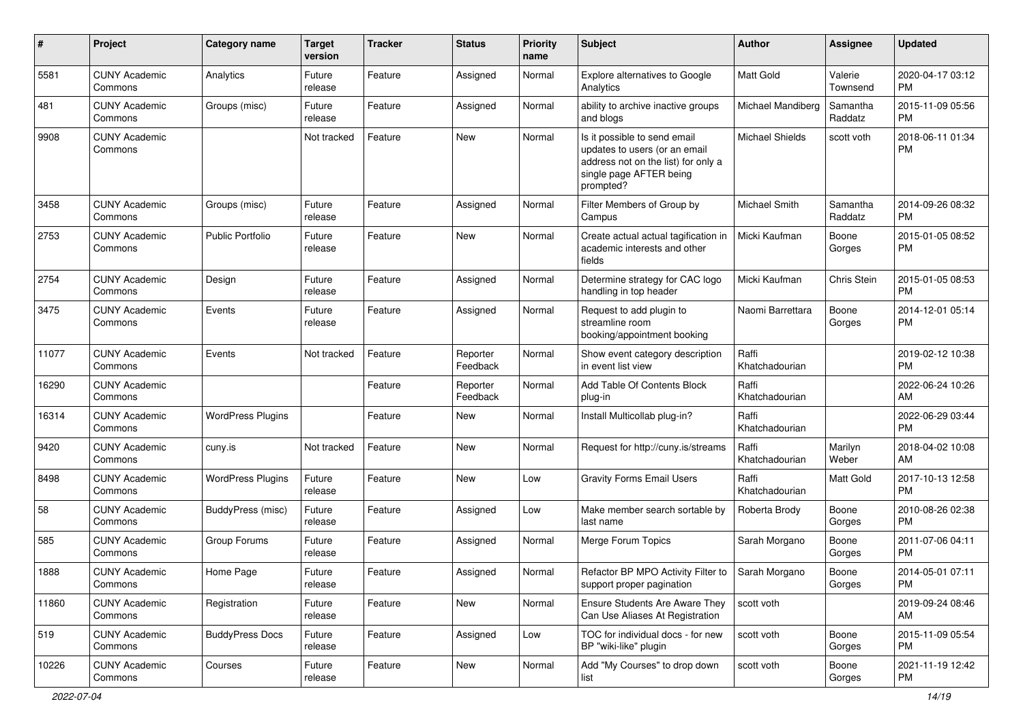| #     | Project                         | <b>Category name</b>     | <b>Target</b><br>version | <b>Tracker</b> | <b>Status</b>        | Priority<br>name | <b>Subject</b>                                                                                                                               | <b>Author</b>           | <b>Assignee</b>     | <b>Updated</b>                |
|-------|---------------------------------|--------------------------|--------------------------|----------------|----------------------|------------------|----------------------------------------------------------------------------------------------------------------------------------------------|-------------------------|---------------------|-------------------------------|
| 5581  | <b>CUNY Academic</b><br>Commons | Analytics                | Future<br>release        | Feature        | Assigned             | Normal           | Explore alternatives to Google<br>Analytics                                                                                                  | <b>Matt Gold</b>        | Valerie<br>Townsend | 2020-04-17 03:12<br><b>PM</b> |
| 481   | <b>CUNY Academic</b><br>Commons | Groups (misc)            | Future<br>release        | Feature        | Assigned             | Normal           | ability to archive inactive groups<br>and blogs                                                                                              | Michael Mandiberg       | Samantha<br>Raddatz | 2015-11-09 05:56<br><b>PM</b> |
| 9908  | <b>CUNY Academic</b><br>Commons |                          | Not tracked              | Feature        | New                  | Normal           | Is it possible to send email<br>updates to users (or an email<br>address not on the list) for only a<br>single page AFTER being<br>prompted? | <b>Michael Shields</b>  | scott voth          | 2018-06-11 01:34<br><b>PM</b> |
| 3458  | <b>CUNY Academic</b><br>Commons | Groups (misc)            | Future<br>release        | Feature        | Assigned             | Normal           | Filter Members of Group by<br>Campus                                                                                                         | Michael Smith           | Samantha<br>Raddatz | 2014-09-26 08:32<br><b>PM</b> |
| 2753  | <b>CUNY Academic</b><br>Commons | <b>Public Portfolio</b>  | Future<br>release        | Feature        | New                  | Normal           | Create actual actual tagification in<br>academic interests and other<br>fields                                                               | Micki Kaufman           | Boone<br>Gorges     | 2015-01-05 08:52<br><b>PM</b> |
| 2754  | <b>CUNY Academic</b><br>Commons | Design                   | Future<br>release        | Feature        | Assigned             | Normal           | Determine strategy for CAC logo<br>handling in top header                                                                                    | Micki Kaufman           | Chris Stein         | 2015-01-05 08:53<br><b>PM</b> |
| 3475  | <b>CUNY Academic</b><br>Commons | Events                   | Future<br>release        | Feature        | Assigned             | Normal           | Request to add plugin to<br>streamline room<br>booking/appointment booking                                                                   | Naomi Barrettara        | Boone<br>Gorges     | 2014-12-01 05:14<br><b>PM</b> |
| 11077 | <b>CUNY Academic</b><br>Commons | Events                   | Not tracked              | Feature        | Reporter<br>Feedback | Normal           | Show event category description<br>in event list view                                                                                        | Raffi<br>Khatchadourian |                     | 2019-02-12 10:38<br><b>PM</b> |
| 16290 | <b>CUNY Academic</b><br>Commons |                          |                          | Feature        | Reporter<br>Feedback | Normal           | Add Table Of Contents Block<br>plug-in                                                                                                       | Raffi<br>Khatchadourian |                     | 2022-06-24 10:26<br>AM        |
| 16314 | <b>CUNY Academic</b><br>Commons | <b>WordPress Plugins</b> |                          | Feature        | New                  | Normal           | Install Multicollab plug-in?                                                                                                                 | Raffi<br>Khatchadourian |                     | 2022-06-29 03:44<br><b>PM</b> |
| 9420  | <b>CUNY Academic</b><br>Commons | cuny.is                  | Not tracked              | Feature        | <b>New</b>           | Normal           | Request for http://cuny.is/streams                                                                                                           | Raffi<br>Khatchadourian | Marilyn<br>Weber    | 2018-04-02 10:08<br>AM        |
| 8498  | <b>CUNY Academic</b><br>Commons | <b>WordPress Plugins</b> | Future<br>release        | Feature        | New                  | Low              | <b>Gravity Forms Email Users</b>                                                                                                             | Raffi<br>Khatchadourian | Matt Gold           | 2017-10-13 12:58<br><b>PM</b> |
| 58    | <b>CUNY Academic</b><br>Commons | BuddyPress (misc)        | Future<br>release        | Feature        | Assigned             | Low              | Make member search sortable by<br>last name                                                                                                  | Roberta Brody           | Boone<br>Gorges     | 2010-08-26 02:38<br>PM.       |
| 585   | <b>CUNY Academic</b><br>Commons | Group Forums             | Future<br>release        | Feature        | Assigned             | Normal           | Merge Forum Topics                                                                                                                           | Sarah Morgano           | Boone<br>Gorges     | 2011-07-06 04:11<br>PM.       |
| 1888  | <b>CUNY Academic</b><br>Commons | Home Page                | Future<br>release        | Feature        | Assigned             | Normal           | Refactor BP MPO Activity Filter to<br>support proper pagination                                                                              | Sarah Morgano           | Boone<br>Gorges     | 2014-05-01 07:11<br><b>PM</b> |
| 11860 | <b>CUNY Academic</b><br>Commons | Registration             | Future<br>release        | Feature        | New                  | Normal           | Ensure Students Are Aware They<br>Can Use Aliases At Registration                                                                            | scott voth              |                     | 2019-09-24 08:46<br>AM        |
| 519   | <b>CUNY Academic</b><br>Commons | <b>BuddyPress Docs</b>   | Future<br>release        | Feature        | Assigned             | Low              | TOC for individual docs - for new<br>BP "wiki-like" plugin                                                                                   | scott voth              | Boone<br>Gorges     | 2015-11-09 05:54<br>PM.       |
| 10226 | <b>CUNY Academic</b><br>Commons | Courses                  | Future<br>release        | Feature        | New                  | Normal           | Add "My Courses" to drop down<br>list                                                                                                        | scott voth              | Boone<br>Gorges     | 2021-11-19 12:42<br>PM        |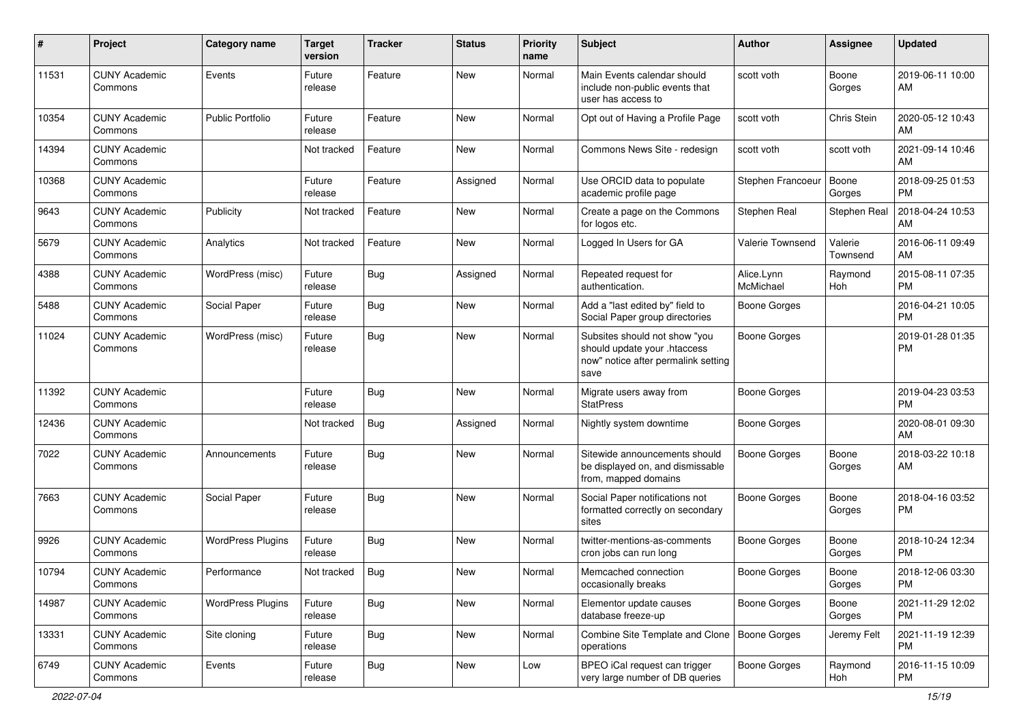| $\#$  | Project                         | <b>Category name</b>     | <b>Target</b><br>version | <b>Tracker</b> | <b>Status</b> | <b>Priority</b><br>name | Subject                                                                                                      | Author                  | <b>Assignee</b>     | <b>Updated</b>                |
|-------|---------------------------------|--------------------------|--------------------------|----------------|---------------|-------------------------|--------------------------------------------------------------------------------------------------------------|-------------------------|---------------------|-------------------------------|
| 11531 | <b>CUNY Academic</b><br>Commons | Events                   | Future<br>release        | Feature        | <b>New</b>    | Normal                  | Main Events calendar should<br>include non-public events that<br>user has access to                          | scott voth              | Boone<br>Gorges     | 2019-06-11 10:00<br>AM        |
| 10354 | <b>CUNY Academic</b><br>Commons | Public Portfolio         | Future<br>release        | Feature        | New           | Normal                  | Opt out of Having a Profile Page                                                                             | scott voth              | Chris Stein         | 2020-05-12 10:43<br>AM        |
| 14394 | <b>CUNY Academic</b><br>Commons |                          | Not tracked              | Feature        | New           | Normal                  | Commons News Site - redesign                                                                                 | scott voth              | scott voth          | 2021-09-14 10:46<br>AM        |
| 10368 | <b>CUNY Academic</b><br>Commons |                          | Future<br>release        | Feature        | Assigned      | Normal                  | Use ORCID data to populate<br>academic profile page                                                          | Stephen Francoeur       | Boone<br>Gorges     | 2018-09-25 01:53<br><b>PM</b> |
| 9643  | <b>CUNY Academic</b><br>Commons | Publicity                | Not tracked              | Feature        | <b>New</b>    | Normal                  | Create a page on the Commons<br>for logos etc.                                                               | Stephen Real            | Stephen Real        | 2018-04-24 10:53<br>AM        |
| 5679  | <b>CUNY Academic</b><br>Commons | Analytics                | Not tracked              | Feature        | <b>New</b>    | Normal                  | Logged In Users for GA                                                                                       | Valerie Townsend        | Valerie<br>Townsend | 2016-06-11 09:49<br>AM        |
| 4388  | <b>CUNY Academic</b><br>Commons | WordPress (misc)         | Future<br>release        | Bug            | Assigned      | Normal                  | Repeated request for<br>authentication.                                                                      | Alice.Lynn<br>McMichael | Raymond<br>Hoh      | 2015-08-11 07:35<br><b>PM</b> |
| 5488  | <b>CUNY Academic</b><br>Commons | Social Paper             | Future<br>release        | Bug            | <b>New</b>    | Normal                  | Add a "last edited by" field to<br>Social Paper group directories                                            | <b>Boone Gorges</b>     |                     | 2016-04-21 10:05<br><b>PM</b> |
| 11024 | <b>CUNY Academic</b><br>Commons | WordPress (misc)         | Future<br>release        | Bug            | <b>New</b>    | Normal                  | Subsites should not show "you<br>should update your .htaccess<br>now" notice after permalink setting<br>save | <b>Boone Gorges</b>     |                     | 2019-01-28 01:35<br><b>PM</b> |
| 11392 | <b>CUNY Academic</b><br>Commons |                          | Future<br>release        | Bug            | <b>New</b>    | Normal                  | Migrate users away from<br><b>StatPress</b>                                                                  | <b>Boone Gorges</b>     |                     | 2019-04-23 03:53<br><b>PM</b> |
| 12436 | <b>CUNY Academic</b><br>Commons |                          | Not tracked              | Bug            | Assigned      | Normal                  | Nightly system downtime                                                                                      | <b>Boone Gorges</b>     |                     | 2020-08-01 09:30<br>AM        |
| 7022  | <b>CUNY Academic</b><br>Commons | Announcements            | Future<br>release        | <b>Bug</b>     | New           | Normal                  | Sitewide announcements should<br>be displayed on, and dismissable<br>from, mapped domains                    | <b>Boone Gorges</b>     | Boone<br>Gorges     | 2018-03-22 10:18<br>AM        |
| 7663  | <b>CUNY Academic</b><br>Commons | Social Paper             | Future<br>release        | <b>Bug</b>     | <b>New</b>    | Normal                  | Social Paper notifications not<br>formatted correctly on secondary<br>sites                                  | <b>Boone Gorges</b>     | Boone<br>Gorges     | 2018-04-16 03:52<br><b>PM</b> |
| 9926  | <b>CUNY Academic</b><br>Commons | <b>WordPress Plugins</b> | Future<br>release        | Bug            | <b>New</b>    | Normal                  | twitter-mentions-as-comments<br>cron jobs can run long                                                       | <b>Boone Gorges</b>     | Boone<br>Gorges     | 2018-10-24 12:34<br><b>PM</b> |
| 10794 | <b>CUNY Academic</b><br>Commons | Performance              | Not tracked              | <b>Bug</b>     | New           | Normal                  | Memcached connection<br>occasionally breaks                                                                  | <b>Boone Gorges</b>     | Boone<br>Gorges     | 2018-12-06 03:30<br>PM        |
| 14987 | <b>CUNY Academic</b><br>Commons | <b>WordPress Plugins</b> | Future<br>release        | Bug            | New           | Normal                  | Elementor update causes<br>database freeze-up                                                                | <b>Boone Gorges</b>     | Boone<br>Gorges     | 2021-11-29 12:02<br><b>PM</b> |
| 13331 | <b>CUNY Academic</b><br>Commons | Site cloning             | Future<br>release        | Bug            | New           | Normal                  | Combine Site Template and Clone<br>operations                                                                | Boone Gorges            | Jeremy Felt         | 2021-11-19 12:39<br><b>PM</b> |
| 6749  | <b>CUNY Academic</b><br>Commons | Events                   | Future<br>release        | <b>Bug</b>     | New           | Low                     | BPEO iCal request can trigger<br>very large number of DB queries                                             | <b>Boone Gorges</b>     | Raymond<br>Hoh      | 2016-11-15 10:09<br>PM        |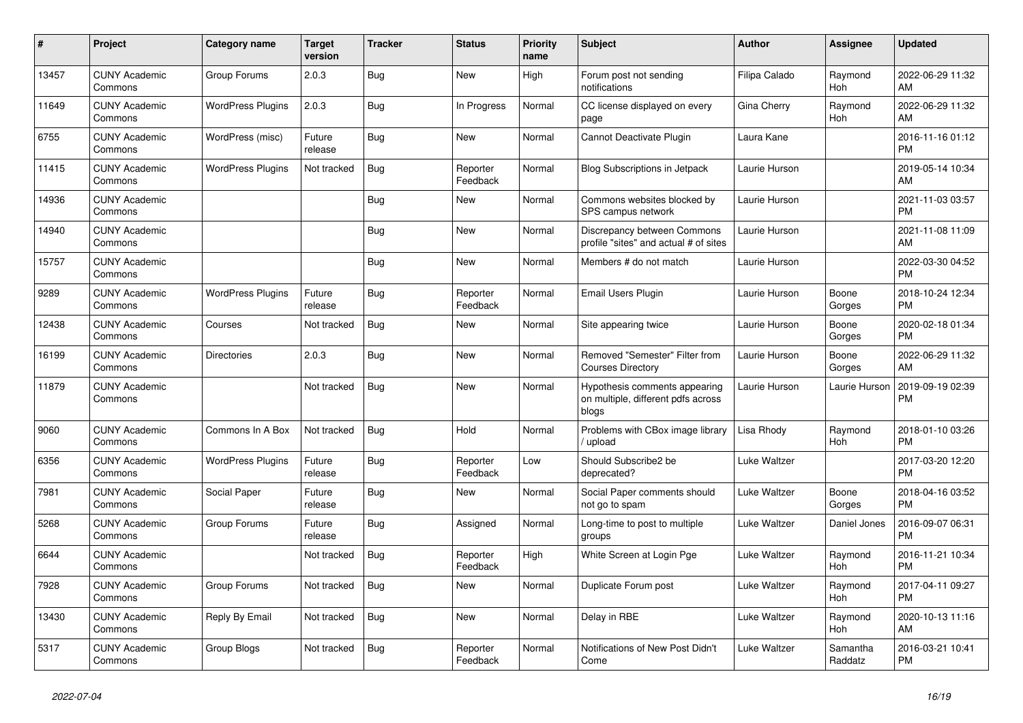| #     | <b>Project</b>                  | Category name            | <b>Target</b><br>version | <b>Tracker</b> | <b>Status</b>        | <b>Priority</b><br>name | <b>Subject</b>                                                               | <b>Author</b> | Assignee            | <b>Updated</b>                |
|-------|---------------------------------|--------------------------|--------------------------|----------------|----------------------|-------------------------|------------------------------------------------------------------------------|---------------|---------------------|-------------------------------|
| 13457 | <b>CUNY Academic</b><br>Commons | Group Forums             | 2.0.3                    | <b>Bug</b>     | New                  | High                    | Forum post not sending<br>notifications                                      | Filipa Calado | Raymond<br>Hoh      | 2022-06-29 11:32<br>AM        |
| 11649 | <b>CUNY Academic</b><br>Commons | <b>WordPress Plugins</b> | 2.0.3                    | Bug            | In Progress          | Normal                  | CC license displayed on every<br>page                                        | Gina Cherry   | Raymond<br>Hoh      | 2022-06-29 11:32<br>AM        |
| 6755  | <b>CUNY Academic</b><br>Commons | WordPress (misc)         | Future<br>release        | Bug            | <b>New</b>           | Normal                  | Cannot Deactivate Plugin                                                     | Laura Kane    |                     | 2016-11-16 01:12<br><b>PM</b> |
| 11415 | <b>CUNY Academic</b><br>Commons | <b>WordPress Plugins</b> | Not tracked              | Bug            | Reporter<br>Feedback | Normal                  | <b>Blog Subscriptions in Jetpack</b>                                         | Laurie Hurson |                     | 2019-05-14 10:34<br>AM        |
| 14936 | <b>CUNY Academic</b><br>Commons |                          |                          | Bug            | New                  | Normal                  | Commons websites blocked by<br>SPS campus network                            | Laurie Hurson |                     | 2021-11-03 03:57<br><b>PM</b> |
| 14940 | <b>CUNY Academic</b><br>Commons |                          |                          | Bug            | New                  | Normal                  | Discrepancy between Commons<br>profile "sites" and actual # of sites         | Laurie Hurson |                     | 2021-11-08 11:09<br>AM        |
| 15757 | <b>CUNY Academic</b><br>Commons |                          |                          | Bug            | <b>New</b>           | Normal                  | Members # do not match                                                       | Laurie Hurson |                     | 2022-03-30 04:52<br><b>PM</b> |
| 9289  | <b>CUNY Academic</b><br>Commons | <b>WordPress Plugins</b> | Future<br>release        | Bug            | Reporter<br>Feedback | Normal                  | Email Users Plugin                                                           | Laurie Hurson | Boone<br>Gorges     | 2018-10-24 12:34<br><b>PM</b> |
| 12438 | <b>CUNY Academic</b><br>Commons | Courses                  | Not tracked              | Bug            | New                  | Normal                  | Site appearing twice                                                         | Laurie Hurson | Boone<br>Gorges     | 2020-02-18 01:34<br><b>PM</b> |
| 16199 | <b>CUNY Academic</b><br>Commons | <b>Directories</b>       | 2.0.3                    | Bug            | <b>New</b>           | Normal                  | Removed "Semester" Filter from<br><b>Courses Directory</b>                   | Laurie Hurson | Boone<br>Gorges     | 2022-06-29 11:32<br>AM        |
| 11879 | <b>CUNY Academic</b><br>Commons |                          | Not tracked              | Bug            | New                  | Normal                  | Hypothesis comments appearing<br>on multiple, different pdfs across<br>blogs | Laurie Hurson | Laurie Hurson       | 2019-09-19 02:39<br><b>PM</b> |
| 9060  | <b>CUNY Academic</b><br>Commons | Commons In A Box         | Not tracked              | Bug            | Hold                 | Normal                  | Problems with CBox image library<br>/ upload                                 | Lisa Rhody    | Raymond<br>Hoh      | 2018-01-10 03:26<br><b>PM</b> |
| 6356  | <b>CUNY Academic</b><br>Commons | <b>WordPress Plugins</b> | Future<br>release        | Bug            | Reporter<br>Feedback | Low                     | Should Subscribe2 be<br>deprecated?                                          | Luke Waltzer  |                     | 2017-03-20 12:20<br><b>PM</b> |
| 7981  | <b>CUNY Academic</b><br>Commons | Social Paper             | Future<br>release        | Bug            | New                  | Normal                  | Social Paper comments should<br>not go to spam                               | Luke Waltzer  | Boone<br>Gorges     | 2018-04-16 03:52<br><b>PM</b> |
| 5268  | <b>CUNY Academic</b><br>Commons | Group Forums             | Future<br>release        | Bug            | Assigned             | Normal                  | Long-time to post to multiple<br>groups                                      | Luke Waltzer  | Daniel Jones        | 2016-09-07 06:31<br><b>PM</b> |
| 6644  | <b>CUNY Academic</b><br>Commons |                          | Not tracked              | <b>Bug</b>     | Reporter<br>Feedback | High                    | White Screen at Login Pge                                                    | Luke Waltzer  | Raymond<br>Hoh      | 2016-11-21 10:34<br><b>PM</b> |
| 7928  | <b>CUNY Academic</b><br>Commons | Group Forums             | Not tracked              | <b>Bug</b>     | New                  | Normal                  | Duplicate Forum post                                                         | Luke Waltzer  | Raymond<br>Hoh      | 2017-04-11 09:27<br><b>PM</b> |
| 13430 | <b>CUNY Academic</b><br>Commons | Reply By Email           | Not tracked              | Bug            | <b>New</b>           | Normal                  | Delay in RBE                                                                 | Luke Waltzer  | Raymond<br>Hoh      | 2020-10-13 11:16<br>AM        |
| 5317  | <b>CUNY Academic</b><br>Commons | Group Blogs              | Not tracked              | Bug            | Reporter<br>Feedback | Normal                  | Notifications of New Post Didn't<br>Come                                     | Luke Waltzer  | Samantha<br>Raddatz | 2016-03-21 10:41<br><b>PM</b> |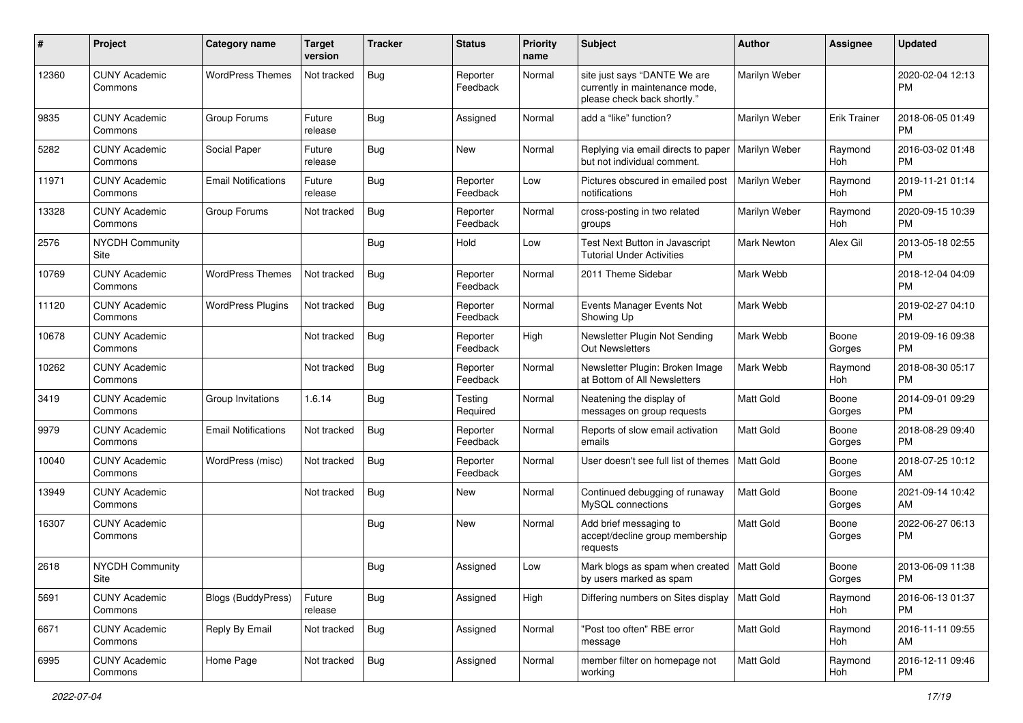| #     | Project                         | <b>Category name</b>       | <b>Target</b><br>version | <b>Tracker</b> | <b>Status</b>        | Priority<br>name | <b>Subject</b>                                                                                | <b>Author</b>    | <b>Assignee</b>     | <b>Updated</b>                |
|-------|---------------------------------|----------------------------|--------------------------|----------------|----------------------|------------------|-----------------------------------------------------------------------------------------------|------------------|---------------------|-------------------------------|
| 12360 | <b>CUNY Academic</b><br>Commons | <b>WordPress Themes</b>    | Not tracked              | Bug            | Reporter<br>Feedback | Normal           | site just says "DANTE We are<br>currently in maintenance mode,<br>please check back shortly." | Marilyn Weber    |                     | 2020-02-04 12:13<br>PM.       |
| 9835  | <b>CUNY Academic</b><br>Commons | Group Forums               | Future<br>release        | Bug            | Assigned             | Normal           | add a "like" function?                                                                        | Marilyn Weber    | <b>Erik Trainer</b> | 2018-06-05 01:49<br><b>PM</b> |
| 5282  | <b>CUNY Academic</b><br>Commons | Social Paper               | Future<br>release        | Bug            | New                  | Normal           | Replying via email directs to paper<br>but not individual comment.                            | Marilyn Weber    | Raymond<br>Hoh      | 2016-03-02 01:48<br><b>PM</b> |
| 11971 | <b>CUNY Academic</b><br>Commons | <b>Email Notifications</b> | Future<br>release        | Bug            | Reporter<br>Feedback | Low              | Pictures obscured in emailed post<br>notifications                                            | Marilyn Weber    | Raymond<br>Hoh      | 2019-11-21 01:14<br><b>PM</b> |
| 13328 | <b>CUNY Academic</b><br>Commons | Group Forums               | Not tracked              | Bug            | Reporter<br>Feedback | Normal           | cross-posting in two related<br>groups                                                        | Marilyn Weber    | Raymond<br>Hoh      | 2020-09-15 10:39<br><b>PM</b> |
| 2576  | <b>NYCDH Community</b><br>Site  |                            |                          | Bug            | Hold                 | Low              | Test Next Button in Javascript<br><b>Tutorial Under Activities</b>                            | Mark Newton      | Alex Gil            | 2013-05-18 02:55<br><b>PM</b> |
| 10769 | <b>CUNY Academic</b><br>Commons | <b>WordPress Themes</b>    | Not tracked              | Bug            | Reporter<br>Feedback | Normal           | 2011 Theme Sidebar                                                                            | Mark Webb        |                     | 2018-12-04 04:09<br><b>PM</b> |
| 11120 | <b>CUNY Academic</b><br>Commons | <b>WordPress Plugins</b>   | Not tracked              | Bug            | Reporter<br>Feedback | Normal           | Events Manager Events Not<br>Showing Up                                                       | Mark Webb        |                     | 2019-02-27 04:10<br><b>PM</b> |
| 10678 | <b>CUNY Academic</b><br>Commons |                            | Not tracked              | Bug            | Reporter<br>Feedback | High             | Newsletter Plugin Not Sending<br><b>Out Newsletters</b>                                       | Mark Webb        | Boone<br>Gorges     | 2019-09-16 09:38<br>PM.       |
| 10262 | <b>CUNY Academic</b><br>Commons |                            | Not tracked              | <b>Bug</b>     | Reporter<br>Feedback | Normal           | Newsletter Plugin: Broken Image<br>at Bottom of All Newsletters                               | Mark Webb        | Raymond<br>Hoh      | 2018-08-30 05:17<br><b>PM</b> |
| 3419  | <b>CUNY Academic</b><br>Commons | Group Invitations          | 1.6.14                   | <b>Bug</b>     | Testing<br>Required  | Normal           | Neatening the display of<br>messages on group requests                                        | Matt Gold        | Boone<br>Gorges     | 2014-09-01 09:29<br><b>PM</b> |
| 9979  | <b>CUNY Academic</b><br>Commons | <b>Email Notifications</b> | Not tracked              | Bug            | Reporter<br>Feedback | Normal           | Reports of slow email activation<br>emails                                                    | Matt Gold        | Boone<br>Gorges     | 2018-08-29 09:40<br><b>PM</b> |
| 10040 | <b>CUNY Academic</b><br>Commons | WordPress (misc)           | Not tracked              | Bug            | Reporter<br>Feedback | Normal           | User doesn't see full list of themes                                                          | <b>Matt Gold</b> | Boone<br>Gorges     | 2018-07-25 10:12<br>AM        |
| 13949 | <b>CUNY Academic</b><br>Commons |                            | Not tracked              | Bug            | New                  | Normal           | Continued debugging of runaway<br>MySQL connections                                           | <b>Matt Gold</b> | Boone<br>Gorges     | 2021-09-14 10:42<br>AM.       |
| 16307 | <b>CUNY Academic</b><br>Commons |                            |                          | <b>Bug</b>     | New                  | Normal           | Add brief messaging to<br>accept/decline group membership<br>requests                         | Matt Gold        | Boone<br>Gorges     | 2022-06-27 06:13<br><b>PM</b> |
| 2618  | <b>NYCDH Community</b><br>Site  |                            |                          | Bug            | Assigned             | Low              | Mark blogs as spam when created   Matt Gold<br>by users marked as spam                        |                  | Boone<br>Gorges     | 2013-06-09 11:38<br>PM        |
| 5691  | <b>CUNY Academic</b><br>Commons | <b>Blogs (BuddyPress)</b>  | Future<br>release        | Bug            | Assigned             | High             | Differing numbers on Sites display                                                            | Matt Gold        | Raymond<br>Hoh      | 2016-06-13 01:37<br>PM        |
| 6671  | <b>CUNY Academic</b><br>Commons | Reply By Email             | Not tracked              | Bug            | Assigned             | Normal           | "Post too often" RBE error<br>message                                                         | Matt Gold        | Raymond<br>Hoh      | 2016-11-11 09:55<br>AM        |
| 6995  | <b>CUNY Academic</b><br>Commons | Home Page                  | Not tracked              | Bug            | Assigned             | Normal           | member filter on homepage not<br>working                                                      | Matt Gold        | Raymond<br>Hoh      | 2016-12-11 09:46<br><b>PM</b> |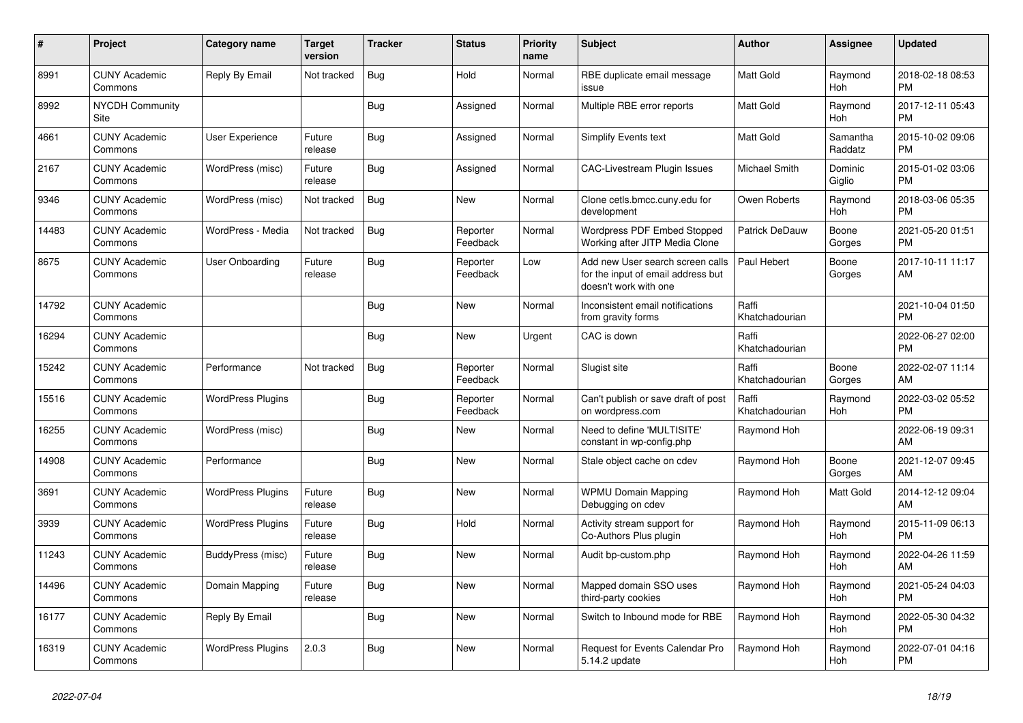| #     | Project                         | <b>Category name</b>     | <b>Target</b><br>version | <b>Tracker</b> | <b>Status</b>        | <b>Priority</b><br>name | <b>Subject</b>                                                                                  | <b>Author</b>           | <b>Assignee</b>     | <b>Updated</b>                |
|-------|---------------------------------|--------------------------|--------------------------|----------------|----------------------|-------------------------|-------------------------------------------------------------------------------------------------|-------------------------|---------------------|-------------------------------|
| 8991  | <b>CUNY Academic</b><br>Commons | Reply By Email           | Not tracked              | <b>Bug</b>     | Hold                 | Normal                  | RBE duplicate email message<br>issue                                                            | <b>Matt Gold</b>        | Raymond<br>Hoh      | 2018-02-18 08:53<br><b>PM</b> |
| 8992  | <b>NYCDH Community</b><br>Site  |                          |                          | Bug            | Assigned             | Normal                  | Multiple RBE error reports                                                                      | <b>Matt Gold</b>        | Raymond<br>Hoh      | 2017-12-11 05:43<br><b>PM</b> |
| 4661  | <b>CUNY Academic</b><br>Commons | <b>User Experience</b>   | Future<br>release        | Bug            | Assigned             | Normal                  | Simplify Events text                                                                            | <b>Matt Gold</b>        | Samantha<br>Raddatz | 2015-10-02 09:06<br><b>PM</b> |
| 2167  | <b>CUNY Academic</b><br>Commons | WordPress (misc)         | Future<br>release        | Bug            | Assigned             | Normal                  | <b>CAC-Livestream Plugin Issues</b>                                                             | <b>Michael Smith</b>    | Dominic<br>Giglio   | 2015-01-02 03:06<br><b>PM</b> |
| 9346  | <b>CUNY Academic</b><br>Commons | WordPress (misc)         | Not tracked              | Bug            | New                  | Normal                  | Clone cetls.bmcc.cuny.edu for<br>development                                                    | Owen Roberts            | Raymond<br>Hoh      | 2018-03-06 05:35<br><b>PM</b> |
| 14483 | <b>CUNY Academic</b><br>Commons | WordPress - Media        | Not tracked              | <b>Bug</b>     | Reporter<br>Feedback | Normal                  | Wordpress PDF Embed Stopped<br>Working after JITP Media Clone                                   | Patrick DeDauw          | Boone<br>Gorges     | 2021-05-20 01:51<br><b>PM</b> |
| 8675  | <b>CUNY Academic</b><br>Commons | User Onboarding          | Future<br>release        | Bug            | Reporter<br>Feedback | Low                     | Add new User search screen calls<br>for the input of email address but<br>doesn't work with one | Paul Hebert             | Boone<br>Gorges     | 2017-10-11 11:17<br>AM        |
| 14792 | <b>CUNY Academic</b><br>Commons |                          |                          | Bug            | New                  | Normal                  | Inconsistent email notifications<br>from gravity forms                                          | Raffi<br>Khatchadourian |                     | 2021-10-04 01:50<br><b>PM</b> |
| 16294 | <b>CUNY Academic</b><br>Commons |                          |                          | Bug            | <b>New</b>           | Urgent                  | CAC is down                                                                                     | Raffi<br>Khatchadourian |                     | 2022-06-27 02:00<br><b>PM</b> |
| 15242 | <b>CUNY Academic</b><br>Commons | Performance              | Not tracked              | Bug            | Reporter<br>Feedback | Normal                  | Slugist site                                                                                    | Raffi<br>Khatchadourian | Boone<br>Gorges     | 2022-02-07 11:14<br>AM        |
| 15516 | <b>CUNY Academic</b><br>Commons | <b>WordPress Plugins</b> |                          | Bug            | Reporter<br>Feedback | Normal                  | Can't publish or save draft of post<br>on wordpress.com                                         | Raffi<br>Khatchadourian | Raymond<br>Hoh      | 2022-03-02 05:52<br><b>PM</b> |
| 16255 | <b>CUNY Academic</b><br>Commons | WordPress (misc)         |                          | Bug            | <b>New</b>           | Normal                  | Need to define 'MULTISITE'<br>constant in wp-config.php                                         | Raymond Hoh             |                     | 2022-06-19 09:31<br>AM        |
| 14908 | <b>CUNY Academic</b><br>Commons | Performance              |                          | Bug            | <b>New</b>           | Normal                  | Stale object cache on cdev                                                                      | Raymond Hoh             | Boone<br>Gorges     | 2021-12-07 09:45<br>AM        |
| 3691  | <b>CUNY Academic</b><br>Commons | <b>WordPress Plugins</b> | Future<br>release        | Bug            | New                  | Normal                  | <b>WPMU Domain Mapping</b><br>Debugging on cdev                                                 | Raymond Hoh             | Matt Gold           | 2014-12-12 09:04<br>AM        |
| 3939  | <b>CUNY Academic</b><br>Commons | <b>WordPress Plugins</b> | Future<br>release        | Bug            | Hold                 | Normal                  | Activity stream support for<br>Co-Authors Plus plugin                                           | Raymond Hoh             | Raymond<br>Hoh      | 2015-11-09 06:13<br><b>PM</b> |
| 11243 | <b>CUNY Academic</b><br>Commons | BuddyPress (misc)        | Future<br>release        | Bug            | New                  | Normal                  | Audit bp-custom.php                                                                             | Raymond Hoh             | Raymond<br>Hoh      | 2022-04-26 11:59<br>AM        |
| 14496 | <b>CUNY Academic</b><br>Commons | Domain Mapping           | Future<br>release        | Bug            | <b>New</b>           | Normal                  | Mapped domain SSO uses<br>third-party cookies                                                   | Raymond Hoh             | Raymond<br>Hoh      | 2021-05-24 04:03<br><b>PM</b> |
| 16177 | <b>CUNY Academic</b><br>Commons | Reply By Email           |                          | <b>Bug</b>     | New                  | Normal                  | Switch to Inbound mode for RBE                                                                  | Raymond Hoh             | Raymond<br>Hoh      | 2022-05-30 04:32<br><b>PM</b> |
| 16319 | <b>CUNY Academic</b><br>Commons | <b>WordPress Plugins</b> | 2.0.3                    | Bug            | <b>New</b>           | Normal                  | Request for Events Calendar Pro<br>5.14.2 update                                                | Raymond Hoh             | Raymond<br>Hoh      | 2022-07-01 04:16<br><b>PM</b> |